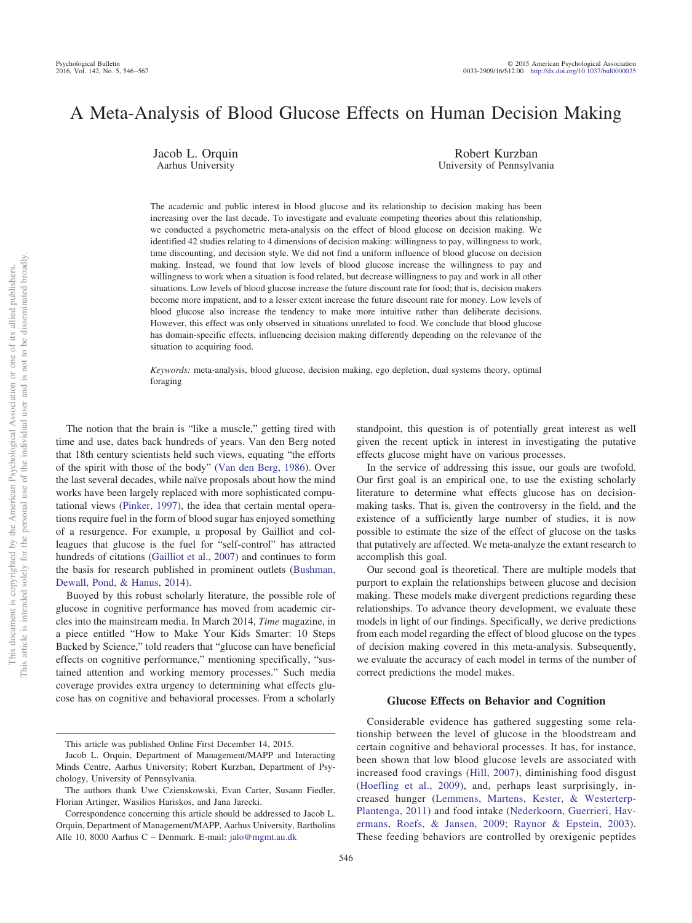# A Meta-Analysis of Blood Glucose Effects on Human Decision Making

Jacob L. Orquin Aarhus University

Robert Kurzban University of Pennsylvania

The academic and public interest in blood glucose and its relationship to decision making has been increasing over the last decade. To investigate and evaluate competing theories about this relationship, we conducted a psychometric meta-analysis on the effect of blood glucose on decision making. We identified 42 studies relating to 4 dimensions of decision making: willingness to pay, willingness to work, time discounting, and decision style. We did not find a uniform influence of blood glucose on decision making. Instead, we found that low levels of blood glucose increase the willingness to pay and willingness to work when a situation is food related, but decrease willingness to pay and work in all other situations. Low levels of blood glucose increase the future discount rate for food; that is, decision makers become more impatient, and to a lesser extent increase the future discount rate for money. Low levels of blood glucose also increase the tendency to make more intuitive rather than deliberate decisions. However, this effect was only observed in situations unrelated to food. We conclude that blood glucose has domain-specific effects, influencing decision making differently depending on the relevance of the situation to acquiring food.

*Keywords:* meta-analysis, blood glucose, decision making, ego depletion, dual systems theory, optimal foraging

The notion that the brain is "like a muscle," getting tired with time and use, dates back hundreds of years. Van den Berg noted that 18th century scientists held such views, equating "the efforts of the spirit with those of the body" [\(Van den Berg, 1986\)](#page-18-0). Over the last several decades, while naïve proposals about how the mind works have been largely replaced with more sophisticated computational views [\(Pinker, 1997\)](#page-17-0), the idea that certain mental operations require fuel in the form of blood sugar has enjoyed something of a resurgence. For example, a proposal by Gailliot and colleagues that glucose is the fuel for "self-control" has attracted hundreds of citations [\(Gailliot et al., 2007\)](#page-16-0) and continues to form the basis for research published in prominent outlets [\(Bushman,](#page-15-0) [Dewall, Pond, & Hanus, 2014\)](#page-15-0).

Buoyed by this robust scholarly literature, the possible role of glucose in cognitive performance has moved from academic circles into the mainstream media. In March 2014, *Time* magazine, in a piece entitled "How to Make Your Kids Smarter: 10 Steps Backed by Science," told readers that "glucose can have beneficial effects on cognitive performance," mentioning specifically, "sustained attention and working memory processes." Such media coverage provides extra urgency to determining what effects glucose has on cognitive and behavioral processes. From a scholarly standpoint, this question is of potentially great interest as well given the recent uptick in interest in investigating the putative effects glucose might have on various processes.

In the service of addressing this issue, our goals are twofold. Our first goal is an empirical one, to use the existing scholarly literature to determine what effects glucose has on decisionmaking tasks. That is, given the controversy in the field, and the existence of a sufficiently large number of studies, it is now possible to estimate the size of the effect of glucose on the tasks that putatively are affected. We meta-analyze the extant research to accomplish this goal.

Our second goal is theoretical. There are multiple models that purport to explain the relationships between glucose and decision making. These models make divergent predictions regarding these relationships. To advance theory development, we evaluate these models in light of our findings. Specifically, we derive predictions from each model regarding the effect of blood glucose on the types of decision making covered in this meta-analysis. Subsequently, we evaluate the accuracy of each model in terms of the number of correct predictions the model makes.

#### **Glucose Effects on Behavior and Cognition**

Considerable evidence has gathered suggesting some relationship between the level of glucose in the bloodstream and certain cognitive and behavioral processes. It has, for instance, been shown that low blood glucose levels are associated with increased food cravings [\(Hill, 2007\)](#page-16-1), diminishing food disgust [\(Hoefling et al., 2009\)](#page-16-2), and, perhaps least surprisingly, increased hunger [\(Lemmens, Martens, Kester, & Westerterp-](#page-17-1)[Plantenga, 2011\)](#page-17-1) and food intake [\(Nederkoorn, Guerrieri, Hav](#page-17-2)[ermans, Roefs, & Jansen, 2009;](#page-17-2) [Raynor & Epstein, 2003\)](#page-17-3). These feeding behaviors are controlled by orexigenic peptides

This article was published Online First December 14, 2015.

Jacob L. Orquin, Department of Management/MAPP and Interacting Minds Centre, Aarhus University; Robert Kurzban, Department of Psychology, University of Pennsylvania.

The authors thank Uwe Czienskowski, Evan Carter, Susann Fiedler, Florian Artinger, Wasilios Hariskos, and Jana Jarecki.

Correspondence concerning this article should be addressed to Jacob L. Orquin, Department of Management/MAPP, Aarhus University, Bartholins Alle 10, 8000 Aarhus C – Denmark. E-mail: [jalo@mgmt.au.dk](mailto:jalo@mgmt.au.dk)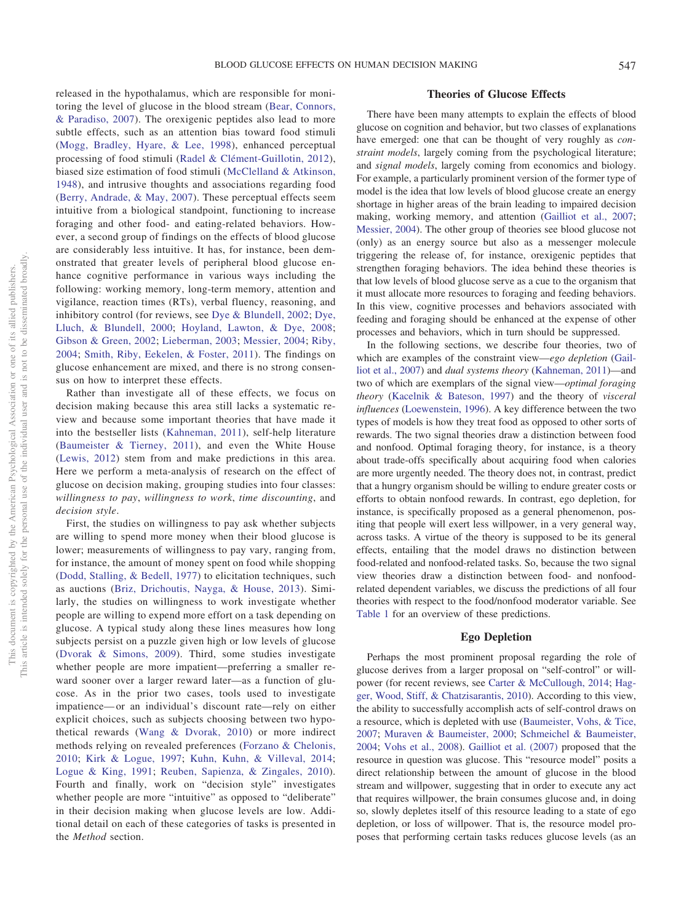released in the hypothalamus, which are responsible for monitoring the level of glucose in the blood stream [\(Bear, Connors,](#page-15-1) [& Paradiso, 2007\)](#page-15-1). The orexigenic peptides also lead to more subtle effects, such as an attention bias toward food stimuli [\(Mogg, Bradley, Hyare, & Lee, 1998\)](#page-17-4), enhanced perceptual processing of food stimuli [\(Radel & Clément-Guillotin, 2012\)](#page-17-5), biased size estimation of food stimuli [\(McClelland & Atkinson,](#page-17-6) [1948\)](#page-17-6), and intrusive thoughts and associations regarding food [\(Berry, Andrade, & May, 2007\)](#page-15-2). These perceptual effects seem intuitive from a biological standpoint, functioning to increase foraging and other food- and eating-related behaviors. However, a second group of findings on the effects of blood glucose are considerably less intuitive. It has, for instance, been demonstrated that greater levels of peripheral blood glucose enhance cognitive performance in various ways including the following: working memory, long-term memory, attention and vigilance, reaction times (RTs), verbal fluency, reasoning, and inhibitory control (for reviews, see [Dye & Blundell, 2002;](#page-15-3) [Dye,](#page-15-4) [Lluch, & Blundell, 2000;](#page-15-4) [Hoyland, Lawton, & Dye, 2008;](#page-16-3) [Gibson & Green, 2002;](#page-17-7) [Lieberman, 2003;](#page-17-8) [Messier, 2004;](#page-17-9) [Riby,](#page-18-1) [2004;](#page-18-1) [Smith, Riby, Eekelen, & Foster, 2011\)](#page-18-2). The findings on glucose enhancement are mixed, and there is no strong consensus on how to interpret these effects.

Rather than investigate all of these effects, we focus on decision making because this area still lacks a systematic review and because some important theories that have made it into the bestseller lists [\(Kahneman, 2011\)](#page-16-4), self-help literature [\(Baumeister & Tierney, 2011\)](#page-15-5), and even the White House [\(Lewis, 2012\)](#page-17-10) stem from and make predictions in this area. Here we perform a meta-analysis of research on the effect of glucose on decision making, grouping studies into four classes: *willingness to pay*, *willingness to work*, *time discounting*, and *decision style*.

First, the studies on willingness to pay ask whether subjects are willing to spend more money when their blood glucose is lower; measurements of willingness to pay vary, ranging from, for instance, the amount of money spent on food while shopping [\(Dodd, Stalling, & Bedell, 1977\)](#page-15-6) to elicitation techniques, such as auctions [\(Briz, Drichoutis, Nayga, & House, 2013\)](#page-15-7). Similarly, the studies on willingness to work investigate whether people are willing to expend more effort on a task depending on glucose. A typical study along these lines measures how long subjects persist on a puzzle given high or low levels of glucose [\(Dvorak & Simons, 2009\)](#page-15-8). Third, some studies investigate whether people are more impatient—preferring a smaller reward sooner over a larger reward later—as a function of glucose. As in the prior two cases, tools used to investigate impatience—or an individual's discount rate—rely on either explicit choices, such as subjects choosing between two hypothetical rewards [\(Wang & Dvorak, 2010\)](#page-18-3) or more indirect methods relying on revealed preferences [\(Forzano & Chelonis,](#page-16-5) [2010;](#page-16-5) [Kirk & Logue, 1997;](#page-16-6) [Kuhn, Kuhn, & Villeval, 2014;](#page-16-7) [Logue & King, 1991;](#page-17-11) [Reuben, Sapienza, & Zingales, 2010\)](#page-17-12). Fourth and finally, work on "decision style" investigates whether people are more "intuitive" as opposed to "deliberate" in their decision making when glucose levels are low. Additional detail on each of these categories of tasks is presented in the *Method* section.

#### **Theories of Glucose Effects**

There have been many attempts to explain the effects of blood glucose on cognition and behavior, but two classes of explanations have emerged: one that can be thought of very roughly as *constraint models*, largely coming from the psychological literature; and *signal models*, largely coming from economics and biology. For example, a particularly prominent version of the former type of model is the idea that low levels of blood glucose create an energy shortage in higher areas of the brain leading to impaired decision making, working memory, and attention [\(Gailliot et al., 2007;](#page-16-0) [Messier, 2004\)](#page-17-9). The other group of theories see blood glucose not (only) as an energy source but also as a messenger molecule triggering the release of, for instance, orexigenic peptides that strengthen foraging behaviors. The idea behind these theories is that low levels of blood glucose serve as a cue to the organism that it must allocate more resources to foraging and feeding behaviors. In this view, cognitive processes and behaviors associated with feeding and foraging should be enhanced at the expense of other processes and behaviors, which in turn should be suppressed.

In the following sections, we describe four theories, two of which are examples of the constraint view—*ego depletion* [\(Gail](#page-16-0)[liot et al., 2007\)](#page-16-0) and *dual systems theory* [\(Kahneman, 2011\)](#page-16-4)—and two of which are exemplars of the signal view—*optimal foraging theory* [\(Kacelnik & Bateson, 1997\)](#page-16-8) and the theory of *visceral influences* [\(Loewenstein, 1996\)](#page-17-13). A key difference between the two types of models is how they treat food as opposed to other sorts of rewards. The two signal theories draw a distinction between food and nonfood. Optimal foraging theory, for instance, is a theory about trade-offs specifically about acquiring food when calories are more urgently needed. The theory does not, in contrast, predict that a hungry organism should be willing to endure greater costs or efforts to obtain nonfood rewards. In contrast, ego depletion, for instance, is specifically proposed as a general phenomenon, positing that people will exert less willpower, in a very general way, across tasks. A virtue of the theory is supposed to be its general effects, entailing that the model draws no distinction between food-related and nonfood-related tasks. So, because the two signal view theories draw a distinction between food- and nonfoodrelated dependent variables, we discuss the predictions of all four theories with respect to the food/nonfood moderator variable. See [Table 1](#page-2-0) for an overview of these predictions.

#### **Ego Depletion**

Perhaps the most prominent proposal regarding the role of glucose derives from a larger proposal on "self-control" or willpower (for recent reviews, see [Carter & McCullough, 2014;](#page-15-9) [Hag](#page-16-9)[ger, Wood, Stiff, & Chatzisarantis, 2010\)](#page-16-9). According to this view, the ability to successfully accomplish acts of self-control draws on a resource, which is depleted with use [\(Baumeister, Vohs, & Tice,](#page-15-10) [2007;](#page-15-10) [Muraven & Baumeister, 2000;](#page-17-14) [Schmeichel & Baumeister,](#page-18-4) [2004;](#page-18-4) [Vohs et al., 2008\)](#page-18-5). [Gailliot et al. \(2007\)](#page-16-0) proposed that the resource in question was glucose. This "resource model" posits a direct relationship between the amount of glucose in the blood stream and willpower, suggesting that in order to execute any act that requires willpower, the brain consumes glucose and, in doing so, slowly depletes itself of this resource leading to a state of ego depletion, or loss of willpower. That is, the resource model proposes that performing certain tasks reduces glucose levels (as an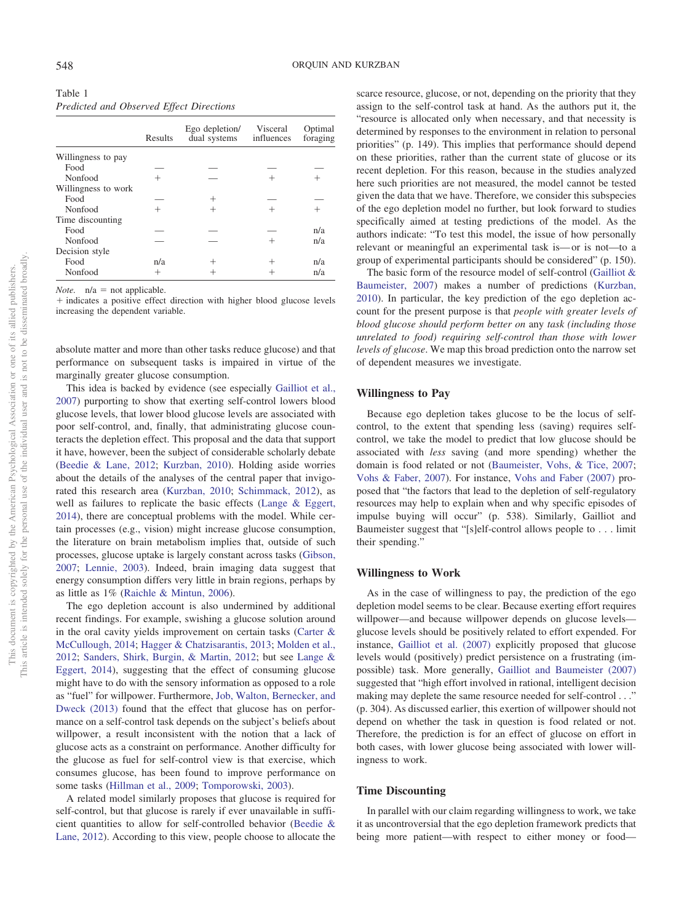<span id="page-2-0"></span>

| Table 1 |                                          |  |
|---------|------------------------------------------|--|
|         | Predicted and Observed Effect Directions |  |

|                     | Results | Ego depletion/<br>dual systems | Visceral<br>influences | Optimal<br>foraging |
|---------------------|---------|--------------------------------|------------------------|---------------------|
| Willingness to pay  |         |                                |                        |                     |
| Food                |         |                                |                        |                     |
| Nonfood             |         |                                |                        |                     |
| Willingness to work |         |                                |                        |                     |
| Food                |         | $^+$                           |                        |                     |
| Nonfood             |         | ┿                              |                        |                     |
| Time discounting    |         |                                |                        |                     |
| Food                |         |                                |                        | n/a                 |
| Nonfood             |         |                                |                        | n/a                 |
| Decision style      |         |                                |                        |                     |
| Food                | n/a     | $^+$                           | $^+$                   | n/a                 |
| Nonfood             | +       |                                |                        | n/a                 |

*Note.*  $n/a = not applicable.$ 

- indicates a positive effect direction with higher blood glucose levels increasing the dependent variable.

absolute matter and more than other tasks reduce glucose) and that performance on subsequent tasks is impaired in virtue of the marginally greater glucose consumption.

This idea is backed by evidence (see especially [Gailliot et al.,](#page-16-0) [2007\)](#page-16-0) purporting to show that exerting self-control lowers blood glucose levels, that lower blood glucose levels are associated with poor self-control, and, finally, that administrating glucose counteracts the depletion effect. This proposal and the data that support it have, however, been the subject of considerable scholarly debate [\(Beedie & Lane, 2012;](#page-15-11) [Kurzban, 2010\)](#page-16-10). Holding aside worries about the details of the analyses of the central paper that invigorated this research area [\(Kurzban, 2010;](#page-16-10) [Schimmack, 2012\)](#page-18-6), as well as failures to replicate the basic effects [\(Lange & Eggert,](#page-17-15) [2014\)](#page-17-15), there are conceptual problems with the model. While certain processes (e.g., vision) might increase glucose consumption, the literature on brain metabolism implies that, outside of such processes, glucose uptake is largely constant across tasks [\(Gibson,](#page-16-11) [2007;](#page-16-11) [Lennie, 2003\)](#page-17-16). Indeed, brain imaging data suggest that energy consumption differs very little in brain regions, perhaps by as little as 1% [\(Raichle & Mintun, 2006\)](#page-17-17).

The ego depletion account is also undermined by additional recent findings. For example, swishing a glucose solution around in the oral cavity yields improvement on certain tasks [\(Carter &](#page-15-9) [McCullough, 2014;](#page-15-9) [Hagger & Chatzisarantis, 2013;](#page-16-12) [Molden et al.,](#page-17-18) [2012;](#page-17-18) [Sanders, Shirk, Burgin, & Martin, 2012;](#page-18-7) but see [Lange &](#page-17-15) [Eggert, 2014\)](#page-17-15), suggesting that the effect of consuming glucose might have to do with the sensory information as opposed to a role as "fuel" for willpower. Furthermore, [Job, Walton, Bernecker, and](#page-16-13) [Dweck \(2013\)](#page-16-13) found that the effect that glucose has on performance on a self-control task depends on the subject's beliefs about willpower, a result inconsistent with the notion that a lack of glucose acts as a constraint on performance. Another difficulty for the glucose as fuel for self-control view is that exercise, which consumes glucose, has been found to improve performance on some tasks [\(Hillman et al., 2009;](#page-16-14) [Tomporowski, 2003\)](#page-18-8).

A related model similarly proposes that glucose is required for self-control, but that glucose is rarely if ever unavailable in sufficient quantities to allow for self-controlled behavior [\(Beedie &](#page-15-11) [Lane, 2012\)](#page-15-11). According to this view, people choose to allocate the

scarce resource, glucose, or not, depending on the priority that they assign to the self-control task at hand. As the authors put it, the "resource is allocated only when necessary, and that necessity is determined by responses to the environment in relation to personal priorities" (p. 149). This implies that performance should depend on these priorities, rather than the current state of glucose or its recent depletion. For this reason, because in the studies analyzed here such priorities are not measured, the model cannot be tested given the data that we have. Therefore, we consider this subspecies of the ego depletion model no further, but look forward to studies specifically aimed at testing predictions of the model. As the authors indicate: "To test this model, the issue of how personally relevant or meaningful an experimental task is—or is not—to a group of experimental participants should be considered" (p. 150).

The basic form of the resource model of self-control [\(Gailliot &](#page-16-15) [Baumeister, 2007\)](#page-16-15) makes a number of predictions [\(Kurzban,](#page-16-10) [2010\)](#page-16-10). In particular, the key prediction of the ego depletion account for the present purpose is that *people with greater levels of blood glucose should perform better on* any *task (including those unrelated to food) requiring self-control than those with lower levels of glucose*. We map this broad prediction onto the narrow set of dependent measures we investigate.

#### **Willingness to Pay**

Because ego depletion takes glucose to be the locus of selfcontrol, to the extent that spending less (saving) requires selfcontrol, we take the model to predict that low glucose should be associated with *less* saving (and more spending) whether the domain is food related or not [\(Baumeister, Vohs, & Tice, 2007;](#page-15-10) [Vohs & Faber, 2007\)](#page-18-9). For instance, [Vohs and Faber \(2007\)](#page-18-9) proposed that "the factors that lead to the depletion of self-regulatory resources may help to explain when and why specific episodes of impulse buying will occur" (p. 538). Similarly, Gailliot and Baumeister suggest that "[s]elf-control allows people to... limit their spending."

#### **Willingness to Work**

As in the case of willingness to pay, the prediction of the ego depletion model seems to be clear. Because exerting effort requires willpower—and because willpower depends on glucose levels glucose levels should be positively related to effort expended. For instance, [Gailliot et al. \(2007\)](#page-16-0) explicitly proposed that glucose levels would (positively) predict persistence on a frustrating (impossible) task. More generally, [Gailliot and Baumeister \(2007\)](#page-16-15) suggested that "high effort involved in rational, intelligent decision making may deplete the same resource needed for self-control . . ." (p. 304). As discussed earlier, this exertion of willpower should not depend on whether the task in question is food related or not. Therefore, the prediction is for an effect of glucose on effort in both cases, with lower glucose being associated with lower willingness to work.

#### **Time Discounting**

In parallel with our claim regarding willingness to work, we take it as uncontroversial that the ego depletion framework predicts that being more patient—with respect to either money or food—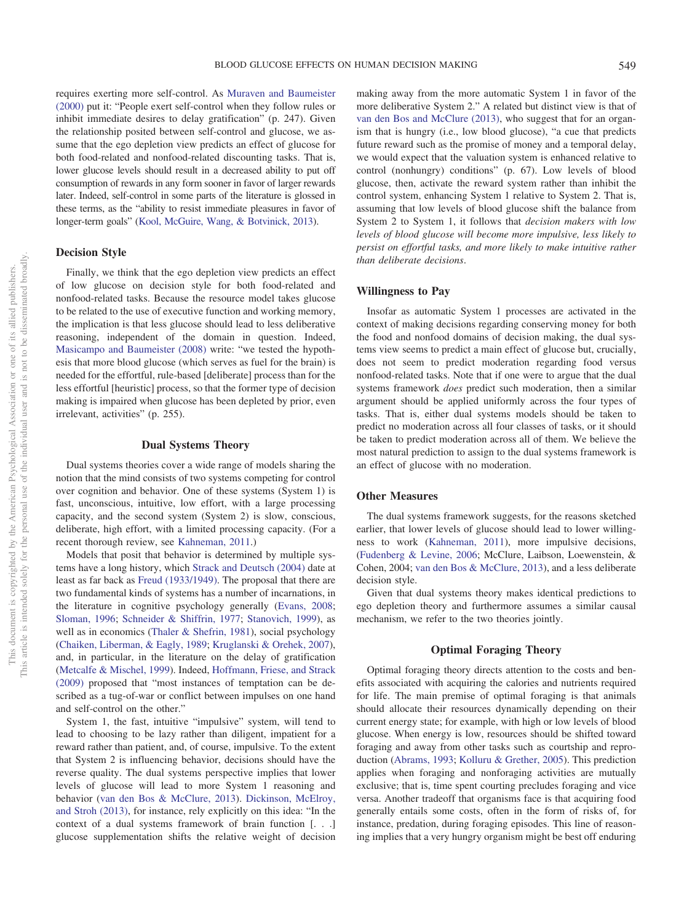requires exerting more self-control. As [Muraven and Baumeister](#page-17-14) [\(2000\)](#page-17-14) put it: "People exert self-control when they follow rules or inhibit immediate desires to delay gratification" (p. 247). Given the relationship posited between self-control and glucose, we assume that the ego depletion view predicts an effect of glucose for both food-related and nonfood-related discounting tasks. That is, lower glucose levels should result in a decreased ability to put off consumption of rewards in any form sooner in favor of larger rewards later. Indeed, self-control in some parts of the literature is glossed in these terms, as the "ability to resist immediate pleasures in favor of longer-term goals" [\(Kool, McGuire, Wang, & Botvinick, 2013\)](#page-16-16).

# **Decision Style**

Finally, we think that the ego depletion view predicts an effect of low glucose on decision style for both food-related and nonfood-related tasks. Because the resource model takes glucose to be related to the use of executive function and working memory, the implication is that less glucose should lead to less deliberative reasoning, independent of the domain in question. Indeed, [Masicampo and Baumeister \(2008\)](#page-17-19) write: "we tested the hypothesis that more blood glucose (which serves as fuel for the brain) is needed for the effortful, rule-based [deliberate] process than for the less effortful [heuristic] process, so that the former type of decision making is impaired when glucose has been depleted by prior, even irrelevant, activities" (p. 255).

#### **Dual Systems Theory**

Dual systems theories cover a wide range of models sharing the notion that the mind consists of two systems competing for control over cognition and behavior. One of these systems (System 1) is fast, unconscious, intuitive, low effort, with a large processing capacity, and the second system (System 2) is slow, conscious, deliberate, high effort, with a limited processing capacity. (For a recent thorough review, see [Kahneman, 2011.](#page-16-4))

Models that posit that behavior is determined by multiple systems have a long history, which [Strack and Deutsch \(2004\)](#page-18-10) date at least as far back as [Freud \(1933/1949\).](#page-16-17) The proposal that there are two fundamental kinds of systems has a number of incarnations, in the literature in cognitive psychology generally [\(Evans, 2008;](#page-16-18) [Sloman, 1996;](#page-18-11) [Schneider & Shiffrin, 1977;](#page-18-12) [Stanovich, 1999\)](#page-18-13), as well as in economics [\(Thaler & Shefrin, 1981\)](#page-18-14), social psychology [\(Chaiken, Liberman, & Eagly, 1989;](#page-15-12) [Kruglanski & Orehek, 2007\)](#page-16-19), and, in particular, in the literature on the delay of gratification [\(Metcalfe & Mischel, 1999\)](#page-17-20). Indeed, [Hoffmann, Friese, and Strack](#page-16-20) [\(2009\)](#page-16-20) proposed that "most instances of temptation can be described as a tug-of-war or conflict between impulses on one hand and self-control on the other."

System 1, the fast, intuitive "impulsive" system, will tend to lead to choosing to be lazy rather than diligent, impatient for a reward rather than patient, and, of course, impulsive. To the extent that System 2 is influencing behavior, decisions should have the reverse quality. The dual systems perspective implies that lower levels of glucose will lead to more System 1 reasoning and behavior [\(van den Bos & McClure, 2013\)](#page-18-15). [Dickinson, McElroy,](#page-15-13) [and Stroh \(2013\),](#page-15-13) for instance, rely explicitly on this idea: "In the context of a dual systems framework of brain function [. . .] glucose supplementation shifts the relative weight of decision

making away from the more automatic System 1 in favor of the more deliberative System 2." A related but distinct view is that of [van den Bos and McClure \(2013\),](#page-18-15) who suggest that for an organism that is hungry (i.e., low blood glucose), "a cue that predicts future reward such as the promise of money and a temporal delay, we would expect that the valuation system is enhanced relative to control (nonhungry) conditions" (p. 67). Low levels of blood glucose, then, activate the reward system rather than inhibit the control system, enhancing System 1 relative to System 2. That is, assuming that low levels of blood glucose shift the balance from System 2 to System 1, it follows that *decision makers with low levels of blood glucose will become more impulsive, less likely to persist on effortful tasks, and more likely to make intuitive rather than deliberate decisions*.

# **Willingness to Pay**

Insofar as automatic System 1 processes are activated in the context of making decisions regarding conserving money for both the food and nonfood domains of decision making, the dual systems view seems to predict a main effect of glucose but, crucially, does not seem to predict moderation regarding food versus nonfood-related tasks. Note that if one were to argue that the dual systems framework *does* predict such moderation, then a similar argument should be applied uniformly across the four types of tasks. That is, either dual systems models should be taken to predict no moderation across all four classes of tasks, or it should be taken to predict moderation across all of them. We believe the most natural prediction to assign to the dual systems framework is an effect of glucose with no moderation.

# **Other Measures**

The dual systems framework suggests, for the reasons sketched earlier, that lower levels of glucose should lead to lower willingness to work [\(Kahneman, 2011\)](#page-16-4), more impulsive decisions, [\(Fudenberg & Levine, 2006;](#page-16-21) McClure, Laibson, Loewenstein, & Cohen, 2004; [van den Bos & McClure, 2013\)](#page-18-15), and a less deliberate decision style.

Given that dual systems theory makes identical predictions to ego depletion theory and furthermore assumes a similar causal mechanism, we refer to the two theories jointly.

# **Optimal Foraging Theory**

Optimal foraging theory directs attention to the costs and benefits associated with acquiring the calories and nutrients required for life. The main premise of optimal foraging is that animals should allocate their resources dynamically depending on their current energy state; for example, with high or low levels of blood glucose. When energy is low, resources should be shifted toward foraging and away from other tasks such as courtship and reproduction [\(Abrams, 1993;](#page-15-14) [Kolluru & Grether, 2005\)](#page-16-22). This prediction applies when foraging and nonforaging activities are mutually exclusive; that is, time spent courting precludes foraging and vice versa. Another tradeoff that organisms face is that acquiring food generally entails some costs, often in the form of risks of, for instance, predation, during foraging episodes. This line of reasoning implies that a very hungry organism might be best off enduring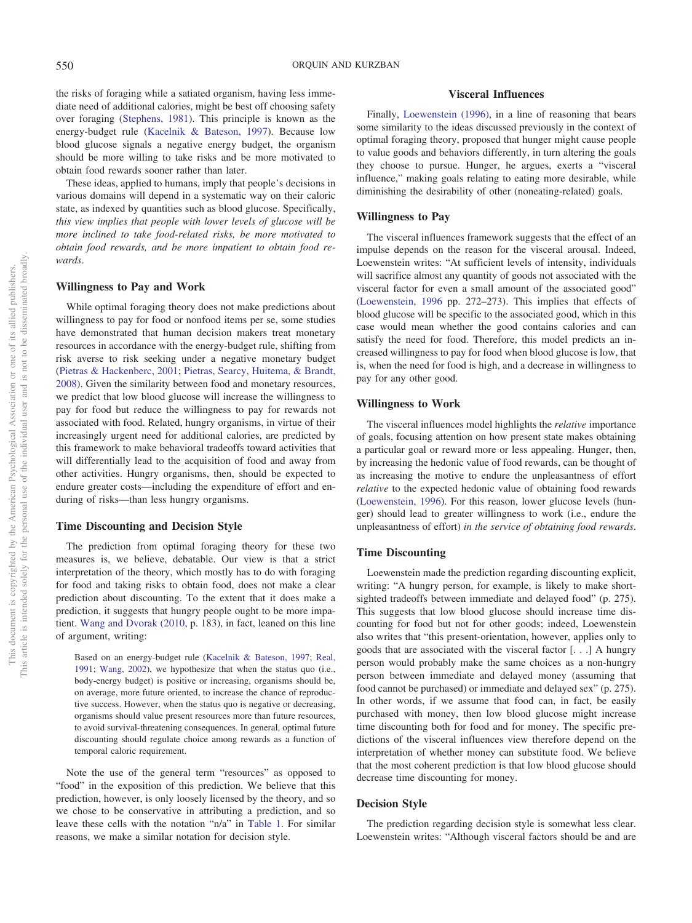the risks of foraging while a satiated organism, having less immediate need of additional calories, might be best off choosing safety over foraging [\(Stephens, 1981\)](#page-18-16). This principle is known as the energy-budget rule [\(Kacelnik & Bateson, 1997\)](#page-16-8). Because low blood glucose signals a negative energy budget, the organism should be more willing to take risks and be more motivated to obtain food rewards sooner rather than later.

These ideas, applied to humans, imply that people's decisions in various domains will depend in a systematic way on their caloric state, as indexed by quantities such as blood glucose. Specifically, *this view implies that people with lower levels of glucose will be more inclined to take food-related risks, be more motivated to obtain food rewards, and be more impatient to obtain food rewards*.

#### **Willingness to Pay and Work**

While optimal foraging theory does not make predictions about willingness to pay for food or nonfood items per se, some studies have demonstrated that human decision makers treat monetary resources in accordance with the energy-budget rule, shifting from risk averse to risk seeking under a negative monetary budget [\(Pietras & Hackenberc, 2001;](#page-17-21) [Pietras, Searcy, Huitema, & Brandt,](#page-17-22) [2008\)](#page-17-22). Given the similarity between food and monetary resources, we predict that low blood glucose will increase the willingness to pay for food but reduce the willingness to pay for rewards not associated with food. Related, hungry organisms, in virtue of their increasingly urgent need for additional calories, are predicted by this framework to make behavioral tradeoffs toward activities that will differentially lead to the acquisition of food and away from other activities. Hungry organisms, then, should be expected to endure greater costs—including the expenditure of effort and enduring of risks—than less hungry organisms.

# **Time Discounting and Decision Style**

The prediction from optimal foraging theory for these two measures is, we believe, debatable. Our view is that a strict interpretation of the theory, which mostly has to do with foraging for food and taking risks to obtain food, does not make a clear prediction about discounting. To the extent that it does make a prediction, it suggests that hungry people ought to be more impatient. [Wang and Dvorak \(2010,](#page-18-3) p. 183), in fact, leaned on this line of argument, writing:

Based on an energy-budget rule [\(Kacelnik & Bateson, 1997;](#page-16-8) [Real,](#page-17-23) [1991;](#page-17-23) [Wang, 2002\)](#page-18-17), we hypothesize that when the status quo (i.e., body-energy budget) is positive or increasing, organisms should be, on average, more future oriented, to increase the chance of reproductive success. However, when the status quo is negative or decreasing, organisms should value present resources more than future resources, to avoid survival-threatening consequences. In general, optimal future discounting should regulate choice among rewards as a function of temporal caloric requirement.

Note the use of the general term "resources" as opposed to "food" in the exposition of this prediction. We believe that this prediction, however, is only loosely licensed by the theory, and so we chose to be conservative in attributing a prediction, and so leave these cells with the notation "n/a" in [Table 1.](#page-2-0) For similar reasons, we make a similar notation for decision style.

#### **Visceral Influences**

Finally, [Loewenstein \(1996\),](#page-17-13) in a line of reasoning that bears some similarity to the ideas discussed previously in the context of optimal foraging theory, proposed that hunger might cause people to value goods and behaviors differently, in turn altering the goals they choose to pursue. Hunger, he argues, exerts a "visceral influence," making goals relating to eating more desirable, while diminishing the desirability of other (noneating-related) goals.

# **Willingness to Pay**

The visceral influences framework suggests that the effect of an impulse depends on the reason for the visceral arousal. Indeed, Loewenstein writes: "At sufficient levels of intensity, individuals will sacrifice almost any quantity of goods not associated with the visceral factor for even a small amount of the associated good" [\(Loewenstein, 1996](#page-17-13) pp. 272–273). This implies that effects of blood glucose will be specific to the associated good, which in this case would mean whether the good contains calories and can satisfy the need for food. Therefore, this model predicts an increased willingness to pay for food when blood glucose is low, that is, when the need for food is high, and a decrease in willingness to pay for any other good.

# **Willingness to Work**

The visceral influences model highlights the *relative* importance of goals, focusing attention on how present state makes obtaining a particular goal or reward more or less appealing. Hunger, then, by increasing the hedonic value of food rewards, can be thought of as increasing the motive to endure the unpleasantness of effort *relative* to the expected hedonic value of obtaining food rewards [\(Loewenstein, 1996\)](#page-17-13). For this reason, lower glucose levels (hunger) should lead to greater willingness to work (i.e., endure the unpleasantness of effort) *in the service of obtaining food rewards*.

#### **Time Discounting**

Loewenstein made the prediction regarding discounting explicit, writing: "A hungry person, for example, is likely to make shortsighted tradeoffs between immediate and delayed food" (p. 275). This suggests that low blood glucose should increase time discounting for food but not for other goods; indeed, Loewenstein also writes that "this present-orientation, however, applies only to goods that are associated with the visceral factor [. . .] A hungry person would probably make the same choices as a non-hungry person between immediate and delayed money (assuming that food cannot be purchased) or immediate and delayed sex" (p. 275). In other words, if we assume that food can, in fact, be easily purchased with money, then low blood glucose might increase time discounting both for food and for money. The specific predictions of the visceral influences view therefore depend on the interpretation of whether money can substitute food. We believe that the most coherent prediction is that low blood glucose should decrease time discounting for money.

#### **Decision Style**

The prediction regarding decision style is somewhat less clear. Loewenstein writes: "Although visceral factors should be and are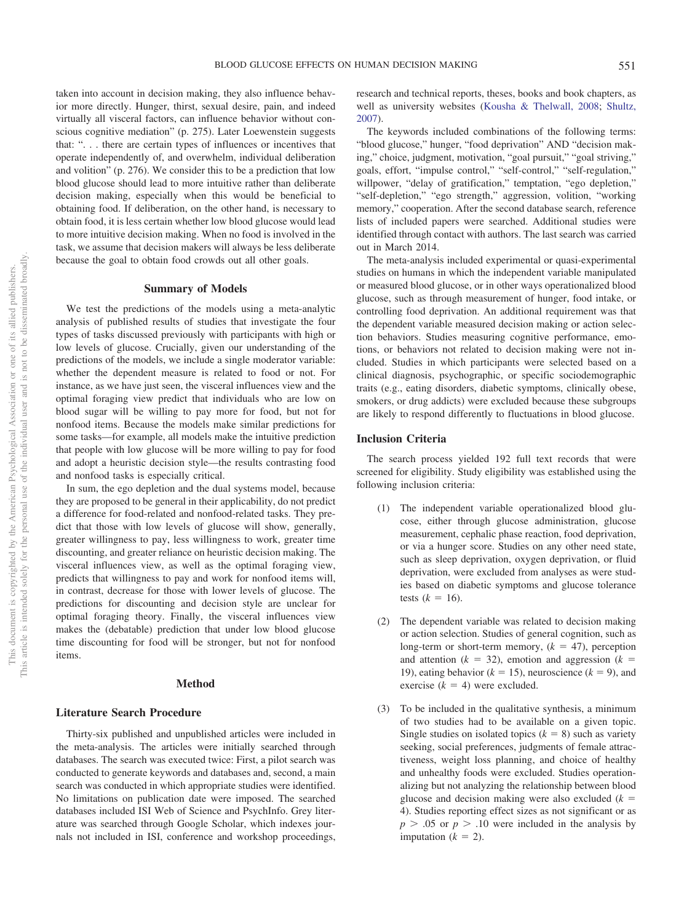taken into account in decision making, they also influence behavior more directly. Hunger, thirst, sexual desire, pain, and indeed virtually all visceral factors, can influence behavior without conscious cognitive mediation" (p. 275). Later Loewenstein suggests that: ". . . there are certain types of influences or incentives that operate independently of, and overwhelm, individual deliberation and volition" (p. 276). We consider this to be a prediction that low blood glucose should lead to more intuitive rather than deliberate decision making, especially when this would be beneficial to obtaining food. If deliberation, on the other hand, is necessary to obtain food, it is less certain whether low blood glucose would lead to more intuitive decision making. When no food is involved in the task, we assume that decision makers will always be less deliberate because the goal to obtain food crowds out all other goals.

# **Summary of Models**

We test the predictions of the models using a meta-analytic analysis of published results of studies that investigate the four types of tasks discussed previously with participants with high or low levels of glucose. Crucially, given our understanding of the predictions of the models, we include a single moderator variable: whether the dependent measure is related to food or not. For instance, as we have just seen, the visceral influences view and the optimal foraging view predict that individuals who are low on blood sugar will be willing to pay more for food, but not for nonfood items. Because the models make similar predictions for some tasks—for example, all models make the intuitive prediction that people with low glucose will be more willing to pay for food and adopt a heuristic decision style—the results contrasting food and nonfood tasks is especially critical.

In sum, the ego depletion and the dual systems model, because they are proposed to be general in their applicability, do not predict a difference for food-related and nonfood-related tasks. They predict that those with low levels of glucose will show, generally, greater willingness to pay, less willingness to work, greater time discounting, and greater reliance on heuristic decision making. The visceral influences view, as well as the optimal foraging view, predicts that willingness to pay and work for nonfood items will, in contrast, decrease for those with lower levels of glucose. The predictions for discounting and decision style are unclear for optimal foraging theory. Finally, the visceral influences view makes the (debatable) prediction that under low blood glucose time discounting for food will be stronger, but not for nonfood items.

#### **Method**

#### **Literature Search Procedure**

Thirty-six published and unpublished articles were included in the meta-analysis. The articles were initially searched through databases. The search was executed twice: First, a pilot search was conducted to generate keywords and databases and, second, a main search was conducted in which appropriate studies were identified. No limitations on publication date were imposed. The searched databases included ISI Web of Science and PsychInfo. Grey literature was searched through Google Scholar, which indexes journals not included in ISI, conference and workshop proceedings,

research and technical reports, theses, books and book chapters, as well as university websites [\(Kousha & Thelwall, 2008;](#page-16-23) [Shultz,](#page-18-18) [2007\)](#page-18-18).

The keywords included combinations of the following terms: "blood glucose," hunger, "food deprivation" AND "decision making," choice, judgment, motivation, "goal pursuit," "goal striving," goals, effort, "impulse control," "self-control," "self-regulation," willpower, "delay of gratification," temptation, "ego depletion," "self-depletion," "ego strength," aggression, volition, "working memory," cooperation. After the second database search, reference lists of included papers were searched. Additional studies were identified through contact with authors. The last search was carried out in March 2014.

The meta-analysis included experimental or quasi-experimental studies on humans in which the independent variable manipulated or measured blood glucose, or in other ways operationalized blood glucose, such as through measurement of hunger, food intake, or controlling food deprivation. An additional requirement was that the dependent variable measured decision making or action selection behaviors. Studies measuring cognitive performance, emotions, or behaviors not related to decision making were not included. Studies in which participants were selected based on a clinical diagnosis, psychographic, or specific sociodemographic traits (e.g., eating disorders, diabetic symptoms, clinically obese, smokers, or drug addicts) were excluded because these subgroups are likely to respond differently to fluctuations in blood glucose.

#### **Inclusion Criteria**

The search process yielded 192 full text records that were screened for eligibility. Study eligibility was established using the following inclusion criteria:

- (1) The independent variable operationalized blood glucose, either through glucose administration, glucose measurement, cephalic phase reaction, food deprivation, or via a hunger score. Studies on any other need state, such as sleep deprivation, oxygen deprivation, or fluid deprivation, were excluded from analyses as were studies based on diabetic symptoms and glucose tolerance tests  $(k = 16)$ .
- (2) The dependent variable was related to decision making or action selection. Studies of general cognition, such as long-term or short-term memory,  $(k = 47)$ , perception and attention  $(k = 32)$ , emotion and aggression  $(k = 12)$ 19), eating behavior ( $k = 15$ ), neuroscience ( $k = 9$ ), and exercise  $(k = 4)$  were excluded.
- (3) To be included in the qualitative synthesis, a minimum of two studies had to be available on a given topic. Single studies on isolated topics  $(k = 8)$  such as variety seeking, social preferences, judgments of female attractiveness, weight loss planning, and choice of healthy and unhealthy foods were excluded. Studies operationalizing but not analyzing the relationship between blood glucose and decision making were also excluded  $(k =$ 4). Studies reporting effect sizes as not significant or as  $p > .05$  or  $p > .10$  were included in the analysis by imputation  $(k = 2)$ .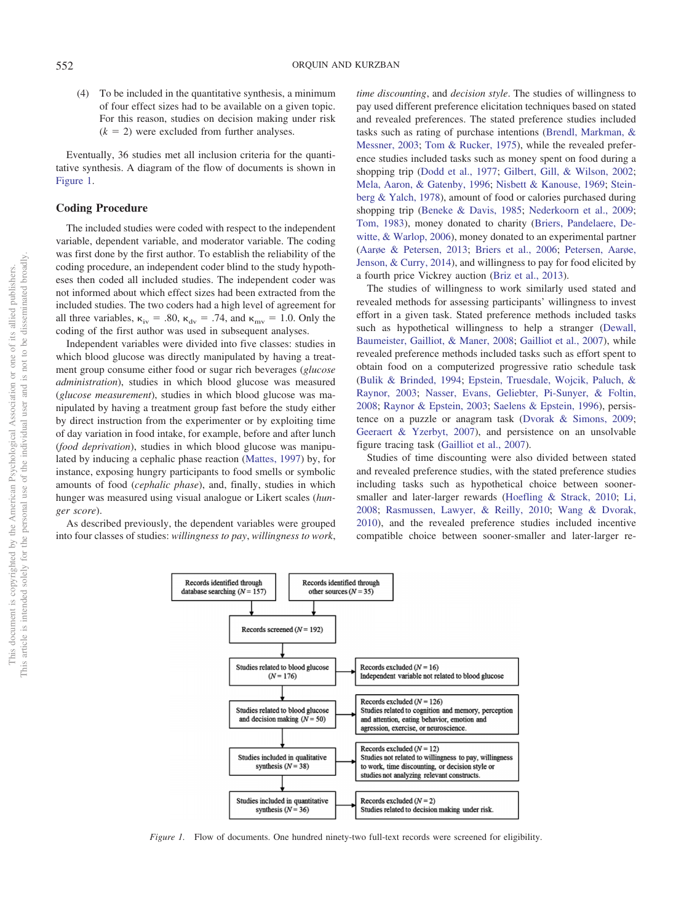(4) To be included in the quantitative synthesis, a minimum of four effect sizes had to be available on a given topic. For this reason, studies on decision making under risk  $(k = 2)$  were excluded from further analyses.

Eventually, 36 studies met all inclusion criteria for the quantitative synthesis. A diagram of the flow of documents is shown in [Figure 1.](#page-6-0)

#### **Coding Procedure**

The included studies were coded with respect to the independent variable, dependent variable, and moderator variable. The coding was first done by the first author. To establish the reliability of the coding procedure, an independent coder blind to the study hypotheses then coded all included studies. The independent coder was not informed about which effect sizes had been extracted from the included studies. The two coders had a high level of agreement for all three variables,  $\kappa_{iv} = .80$ ,  $\kappa_{dv} = .74$ , and  $\kappa_{mv} = 1.0$ . Only the coding of the first author was used in subsequent analyses.

Independent variables were divided into five classes: studies in which blood glucose was directly manipulated by having a treatment group consume either food or sugar rich beverages (*glucose administration*), studies in which blood glucose was measured (*glucose measurement*), studies in which blood glucose was manipulated by having a treatment group fast before the study either by direct instruction from the experimenter or by exploiting time of day variation in food intake, for example, before and after lunch (*food deprivation*), studies in which blood glucose was manipulated by inducing a cephalic phase reaction [\(Mattes, 1997\)](#page-17-24) by, for instance, exposing hungry participants to food smells or symbolic amounts of food (*cephalic phase*), and, finally, studies in which hunger was measured using visual analogue or Likert scales (*hunger score*).

As described previously, the dependent variables were grouped into four classes of studies: *willingness to pay*, *willingness to work*,

*time discounting*, and *decision style*. The studies of willingness to pay used different preference elicitation techniques based on stated and revealed preferences. The stated preference studies included tasks such as rating of purchase intentions [\(Brendl, Markman, &](#page-15-15) [Messner, 2003;](#page-15-15) [Tom & Rucker, 1975\)](#page-18-19), while the revealed preference studies included tasks such as money spent on food during a shopping trip [\(Dodd et al., 1977;](#page-15-6) [Gilbert, Gill, & Wilson, 2002;](#page-16-24) [Mela, Aaron, & Gatenby, 1996;](#page-17-25) [Nisbett & Kanouse, 1969;](#page-17-26) [Stein](#page-18-20)[berg & Yalch, 1978\)](#page-18-20), amount of food or calories purchased during shopping trip [\(Beneke & Davis, 1985;](#page-15-16) [Nederkoorn et al., 2009;](#page-17-2) [Tom, 1983\)](#page-18-21), money donated to charity [\(Briers, Pandelaere, De](#page-15-17)[witte, & Warlop, 2006\)](#page-15-17), money donated to an experimental partner [\(Aarøe & Petersen, 2013;](#page-15-18) [Briers et al., 2006;](#page-15-17) [Petersen, Aarøe,](#page-17-27) [Jenson, & Curry, 2014\)](#page-17-27), and willingness to pay for food elicited by a fourth price Vickrey auction [\(Briz et al., 2013\)](#page-15-7).

The studies of willingness to work similarly used stated and revealed methods for assessing participants' willingness to invest effort in a given task. Stated preference methods included tasks such as hypothetical willingness to help a stranger [\(Dewall,](#page-15-19) [Baumeister, Gailliot, & Maner, 2008;](#page-15-19) [Gailliot et al., 2007\)](#page-16-0), while revealed preference methods included tasks such as effort spent to obtain food on a computerized progressive ratio schedule task [\(Bulik & Brinded, 1994;](#page-15-20) [Epstein, Truesdale, Wojcik, Paluch, &](#page-15-21) [Raynor, 2003;](#page-15-21) [Nasser, Evans, Geliebter, Pi-Sunyer, & Foltin,](#page-17-28) [2008;](#page-17-28) [Raynor & Epstein, 2003;](#page-17-3) [Saelens & Epstein, 1996\)](#page-18-22), persistence on a puzzle or anagram task [\(Dvorak & Simons, 2009;](#page-15-8) [Geeraert & Yzerbyt, 2007\)](#page-16-25), and persistence on an unsolvable figure tracing task [\(Gailliot et al., 2007\)](#page-16-0).

Studies of time discounting were also divided between stated and revealed preference studies, with the stated preference studies including tasks such as hypothetical choice between soonersmaller and later-larger rewards [\(Hoefling & Strack, 2010;](#page-16-26) [Li,](#page-17-29) [2008;](#page-17-29) [Rasmussen, Lawyer, & Reilly, 2010;](#page-17-30) [Wang & Dvorak,](#page-18-3) [2010\)](#page-18-3), and the revealed preference studies included incentive compatible choice between sooner-smaller and later-larger re-



<span id="page-6-0"></span>*Figure 1.* Flow of documents. One hundred ninety-two full-text records were screened for eligibility.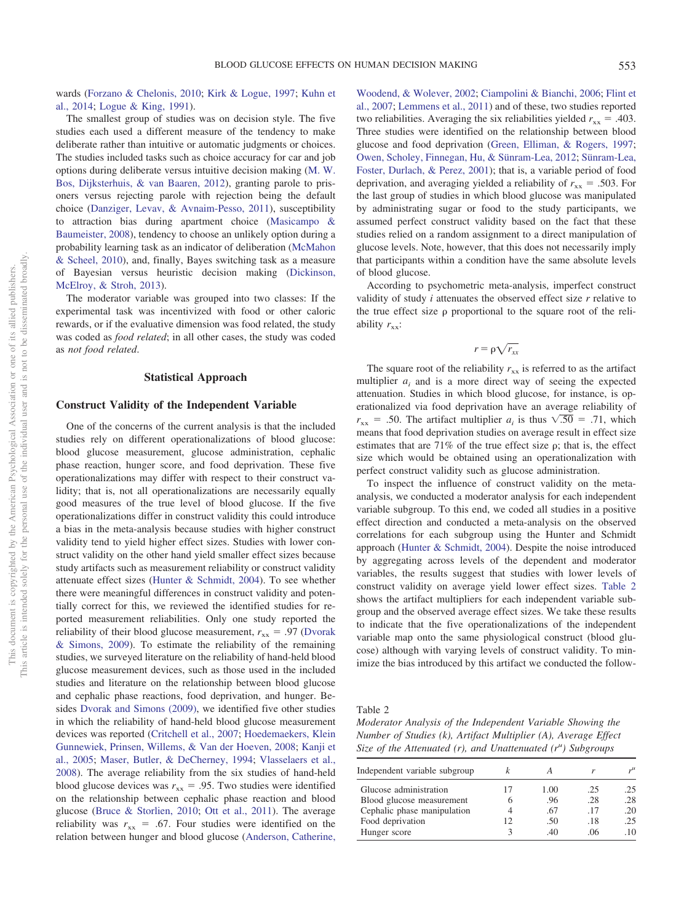wards [\(Forzano & Chelonis, 2010;](#page-16-5) [Kirk & Logue, 1997;](#page-16-6) [Kuhn et](#page-16-7) [al., 2014;](#page-16-7) [Logue & King, 1991\)](#page-17-11).

The smallest group of studies was on decision style. The five studies each used a different measure of the tendency to make deliberate rather than intuitive or automatic judgments or choices. The studies included tasks such as choice accuracy for car and job options during deliberate versus intuitive decision making [\(M. W.](#page-15-22) [Bos, Dijksterhuis, & van Baaren, 2012\)](#page-15-22), granting parole to prisoners versus rejecting parole with rejection being the default choice [\(Danziger, Levav, & Avnaim-Pesso, 2011\)](#page-15-23), susceptibility to attraction bias during apartment choice [\(Masicampo &](#page-17-19) [Baumeister, 2008\)](#page-17-19), tendency to choose an unlikely option during a probability learning task as an indicator of deliberation [\(McMahon](#page-17-31) [& Scheel, 2010\)](#page-17-31), and, finally, Bayes switching task as a measure of Bayesian versus heuristic decision making [\(Dickinson,](#page-15-13) [McElroy, & Stroh, 2013\)](#page-15-13).

The moderator variable was grouped into two classes: If the experimental task was incentivized with food or other caloric rewards, or if the evaluative dimension was food related, the study was coded as *food related*; in all other cases, the study was coded as *not food related*.

# **Statistical Approach**

# **Construct Validity of the Independent Variable**

One of the concerns of the current analysis is that the included studies rely on different operationalizations of blood glucose: blood glucose measurement, glucose administration, cephalic phase reaction, hunger score, and food deprivation. These five operationalizations may differ with respect to their construct validity; that is, not all operationalizations are necessarily equally good measures of the true level of blood glucose. If the five operationalizations differ in construct validity this could introduce a bias in the meta-analysis because studies with higher construct validity tend to yield higher effect sizes. Studies with lower construct validity on the other hand yield smaller effect sizes because study artifacts such as measurement reliability or construct validity attenuate effect sizes [\(Hunter & Schmidt, 2004\)](#page-16-27). To see whether there were meaningful differences in construct validity and potentially correct for this, we reviewed the identified studies for reported measurement reliabilities. Only one study reported the reliability of their blood glucose measurement,  $r_{xx} = .97$  [\(Dvorak](#page-15-8) [& Simons, 2009\)](#page-15-8). To estimate the reliability of the remaining studies, we surveyed literature on the reliability of hand-held blood glucose measurement devices, such as those used in the included studies and literature on the relationship between blood glucose and cephalic phase reactions, food deprivation, and hunger. Besides [Dvorak and Simons \(2009\),](#page-15-8) we identified five other studies in which the reliability of hand-held blood glucose measurement devices was reported [\(Critchell et al., 2007;](#page-15-24) [Hoedemaekers, Klein](#page-16-28) [Gunnewiek, Prinsen, Willems, & Van der Hoeven, 2008;](#page-16-28) [Kanji et](#page-16-29) [al., 2005;](#page-16-29) [Maser, Butler, & DeCherney, 1994;](#page-17-32) [Vlasselaers et al.,](#page-18-23) [2008\)](#page-18-23). The average reliability from the six studies of hand-held blood glucose devices was  $r_{xx} = .95$ . Two studies were identified on the relationship between cephalic phase reaction and blood glucose [\(Bruce & Storlien, 2010;](#page-15-25) [Ott et al., 2011\)](#page-17-33). The average reliability was  $r_{xx} = .67$ . Four studies were identified on the relation between hunger and blood glucose [\(Anderson, Catherine,](#page-15-26)

[Woodend, & Wolever, 2002;](#page-15-26) [Ciampolini & Bianchi, 2006;](#page-15-27) [Flint et](#page-16-30) [al., 2007;](#page-16-30) [Lemmens et al., 2011\)](#page-17-1) and of these, two studies reported two reliabilities. Averaging the six reliabilities yielded  $r_{xx} = .403$ . Three studies were identified on the relationship between blood glucose and food deprivation [\(Green, Elliman, & Rogers, 1997;](#page-16-31) [Owen, Scholey, Finnegan, Hu, & Sünram-Lea, 2012;](#page-17-34) [Sünram-Lea,](#page-18-24) [Foster, Durlach, & Perez, 2001\)](#page-18-24); that is, a variable period of food deprivation, and averaging yielded a reliability of  $r_{xx} = .503$ . For the last group of studies in which blood glucose was manipulated by administrating sugar or food to the study participants, we assumed perfect construct validity based on the fact that these studies relied on a random assignment to a direct manipulation of glucose levels. Note, however, that this does not necessarily imply that participants within a condition have the same absolute levels of blood glucose.

According to psychometric meta-analysis, imperfect construct validity of study *i* attenuates the observed effect size *r* relative to the true effect size  $\rho$  proportional to the square root of the reliability  $r_{xx}$ :

$$
r = \rho \sqrt{r_{xx}}
$$

The square root of the reliability  $r_{xx}$  is referred to as the artifact multiplier  $a_i$  and is a more direct way of seeing the expected attenuation. Studies in which blood glucose, for instance, is operationalized via food deprivation have an average reliability of  $r_{xx}$  = .50. The artifact multiplier  $a_i$  is thus  $\sqrt{.50}$  = .71, which means that food deprivation studies on average result in effect size estimates that are  $71\%$  of the true effect size  $\rho$ ; that is, the effect size which would be obtained using an operationalization with perfect construct validity such as glucose administration.

To inspect the influence of construct validity on the metaanalysis, we conducted a moderator analysis for each independent variable subgroup. To this end, we coded all studies in a positive effect direction and conducted a meta-analysis on the observed correlations for each subgroup using the Hunter and Schmidt approach [\(Hunter & Schmidt, 2004\)](#page-16-27). Despite the noise introduced by aggregating across levels of the dependent and moderator variables, the results suggest that studies with lower levels of construct validity on average yield lower effect sizes. [Table 2](#page-7-0) shows the artifact multipliers for each independent variable subgroup and the observed average effect sizes. We take these results to indicate that the five operationalizations of the independent variable map onto the same physiological construct (blood glucose) although with varying levels of construct validity. To minimize the bias introduced by this artifact we conducted the follow-

<span id="page-7-0"></span>Table 2

*Moderator Analysis of the Independent Variable Showing the Number of Studies (k), Artifact Multiplier (A), Average Effect* Size of the Attenuated (r), and Unattenuated (r<sup>u</sup>) Subgroups

| Independent variable subgroup |    |      |                 |     |
|-------------------------------|----|------|-----------------|-----|
| Glucose administration        | 17 | 1.00 | .25             | 25  |
| Blood glucose measurement     |    | .96  | .28             | .28 |
| Cephalic phase manipulation   |    | .67  | $\overline{17}$ | .20 |
| Food deprivation              | 12 | .50  | .18             | 25  |
| Hunger score                  |    | -40  | .06             | .10 |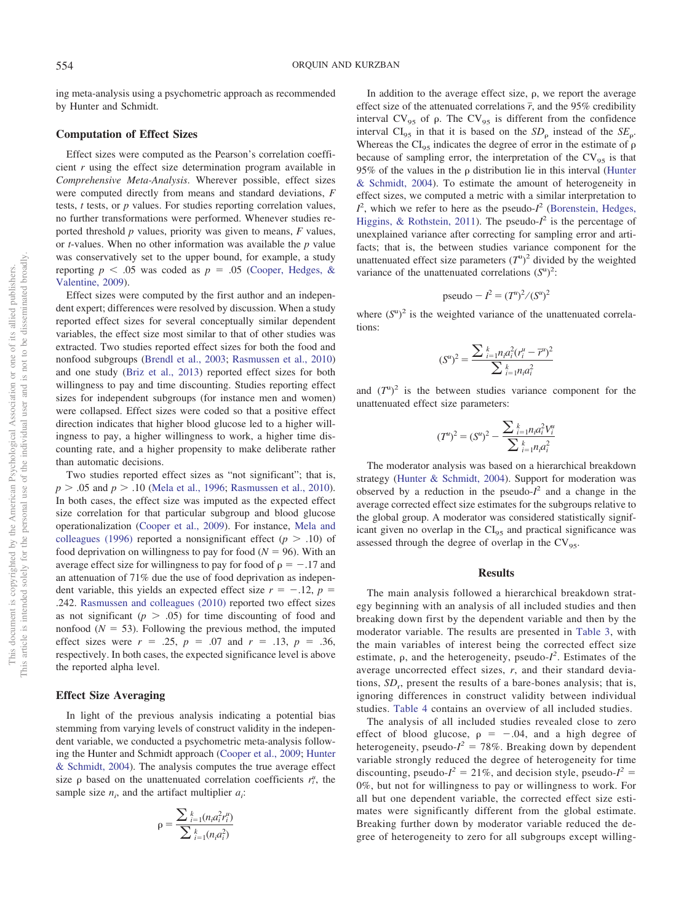ing meta-analysis using a psychometric approach as recommended by Hunter and Schmidt.

# **Computation of Effect Sizes**

Effect sizes were computed as the Pearson's correlation coefficient *r* using the effect size determination program available in *Comprehensive Meta-Analysis*. Wherever possible, effect sizes were computed directly from means and standard deviations, *F* tests, *t* tests, or *p* values. For studies reporting correlation values, no further transformations were performed. Whenever studies reported threshold *p* values, priority was given to means, *F* values, or *t*-values. When no other information was available the *p* value was conservatively set to the upper bound, for example, a study reporting  $p < .05$  was coded as  $p = .05$  [\(Cooper, Hedges, &](#page-15-28) [Valentine, 2009\)](#page-15-28).

Effect sizes were computed by the first author and an independent expert; differences were resolved by discussion. When a study reported effect sizes for several conceptually similar dependent variables, the effect size most similar to that of other studies was extracted. Two studies reported effect sizes for both the food and nonfood subgroups [\(Brendl et al., 2003;](#page-15-15) [Rasmussen et al., 2010\)](#page-17-30) and one study [\(Briz et al., 2013\)](#page-15-7) reported effect sizes for both willingness to pay and time discounting. Studies reporting effect sizes for independent subgroups (for instance men and women) were collapsed. Effect sizes were coded so that a positive effect direction indicates that higher blood glucose led to a higher willingness to pay, a higher willingness to work, a higher time discounting rate, and a higher propensity to make deliberate rather than automatic decisions.

Two studies reported effect sizes as "not significant"; that is, *p* .05 and *p* .10 [\(Mela et al., 1996;](#page-17-25) [Rasmussen et al., 2010\)](#page-17-30). In both cases, the effect size was imputed as the expected effect size correlation for that particular subgroup and blood glucose operationalization [\(Cooper et al., 2009\)](#page-15-28). For instance, [Mela and](#page-17-25) [colleagues \(1996\)](#page-17-25) reported a nonsignificant effect ( $p > .10$ ) of food deprivation on willingness to pay for food ( $N = 96$ ). With an average effect size for willingness to pay for food of  $\rho = -.17$  and an attenuation of 71% due the use of food deprivation as independent variable, this yields an expected effect size  $r = -.12$ ,  $p =$ .242. [Rasmussen and colleagues \(2010\)](#page-17-30) reported two effect sizes as not significant  $(p > .05)$  for time discounting of food and nonfood  $(N = 53)$ . Following the previous method, the imputed effect sizes were  $r = .25$ ,  $p = .07$  and  $r = .13$ ,  $p = .36$ , respectively. In both cases, the expected significance level is above the reported alpha level.

# **Effect Size Averaging**

In light of the previous analysis indicating a potential bias stemming from varying levels of construct validity in the independent variable, we conducted a psychometric meta-analysis following the Hunter and Schmidt approach [\(Cooper et al., 2009;](#page-15-28) [Hunter](#page-16-27) [& Schmidt, 2004\)](#page-16-27). The analysis computes the true average effect size  $\rho$  based on the unattenuated correlation coefficients  $r_i^u$ , the sample size  $n_i$ , and the artifact multiplier  $a_i$ :

$$
\rho = \frac{\sum_{i=1}^{k} (n_i a_i^2 r_i^u)}{\sum_{i=1}^{k} (n_i a_i^2)}
$$

In addition to the average effect size,  $\rho$ , we report the average effect size of the attenuated correlations  $\bar{r}$ , and the 95% credibility interval  $CV_{95}$  of  $\rho$ . The  $CV_{95}$  is different from the confidence interval  $CI_{95}$  in that it is based on the  $SD_{\rho}$  instead of the  $SE_{\rho}$ . Whereas the  $CI_{95}$  indicates the degree of error in the estimate of  $\rho$ because of sampling error, the interpretation of the  $CV_{95}$  is that 95% of the values in the  $\rho$  distribution lie in this interval [\(Hunter](#page-16-27) [& Schmidt, 2004\)](#page-16-27). To estimate the amount of heterogeneity in effect sizes, we computed a metric with a similar interpretation to  $I^2$ , which we refer to here as the pseudo- $I^2$  [\(Borenstein, Hedges,](#page-15-29) [Higgins, & Rothstein, 2011\)](#page-15-29). The pseudo- $I^2$  is the percentage of unexplained variance after correcting for sampling error and artifacts; that is, the between studies variance component for the unattenuated effect size parameters  $(T^u)^2$  divided by the weighted variance of the unattenuated correlations  $(S^u)^2$ :

pseudo 
$$
-I^2 = (T^u)^2/(S^u)^2
$$

where  $(S^u)^2$  is the weighted variance of the unattenuated correlations:

$$
(S^u)^2 = \frac{\sum_{i=1}^k n_i a_i^2 (r_i^u - \overline{r}^u)^2}{\sum_{i=1}^k n_i a_i^2}
$$

and  $(T^{u})^2$  is the between studies variance component for the unattenuated effect size parameters:

$$
(T^{u})^{2} = (S^{u})^{2} - \frac{\sum_{i=1}^{k} n_{i} a_{i}^{2} V_{i}^{u}}{\sum_{i=1}^{k} n_{i} a_{i}^{2}}
$$

The moderator analysis was based on a hierarchical breakdown strategy [\(Hunter & Schmidt, 2004\)](#page-16-27). Support for moderation was observed by a reduction in the pseudo- $I<sup>2</sup>$  and a change in the average corrected effect size estimates for the subgroups relative to the global group. A moderator was considered statistically significant given no overlap in the  $CI_{95}$  and practical significance was assessed through the degree of overlap in the  $CV_{95}$ .

#### **Results**

The main analysis followed a hierarchical breakdown strategy beginning with an analysis of all included studies and then breaking down first by the dependent variable and then by the moderator variable. The results are presented in [Table 3,](#page-9-0) with the main variables of interest being the corrected effect size estimate,  $\rho$ , and the heterogeneity, pseudo- $I^2$ . Estimates of the average uncorrected effect sizes, *r*, and their standard deviations,  $SD_r$ , present the results of a bare-bones analysis; that is, ignoring differences in construct validity between individual studies. [Table 4](#page-10-0) contains an overview of all included studies.

The analysis of all included studies revealed close to zero effect of blood glucose,  $\rho = -.04$ , and a high degree of heterogeneity, pseudo- $I^2 = 78\%$ . Breaking down by dependent variable strongly reduced the degree of heterogeneity for time discounting, pseudo- $I^2 = 21\%$ , and decision style, pseudo- $I^2 =$ 0%, but not for willingness to pay or willingness to work. For all but one dependent variable, the corrected effect size estimates were significantly different from the global estimate. Breaking further down by moderator variable reduced the degree of heterogeneity to zero for all subgroups except willing-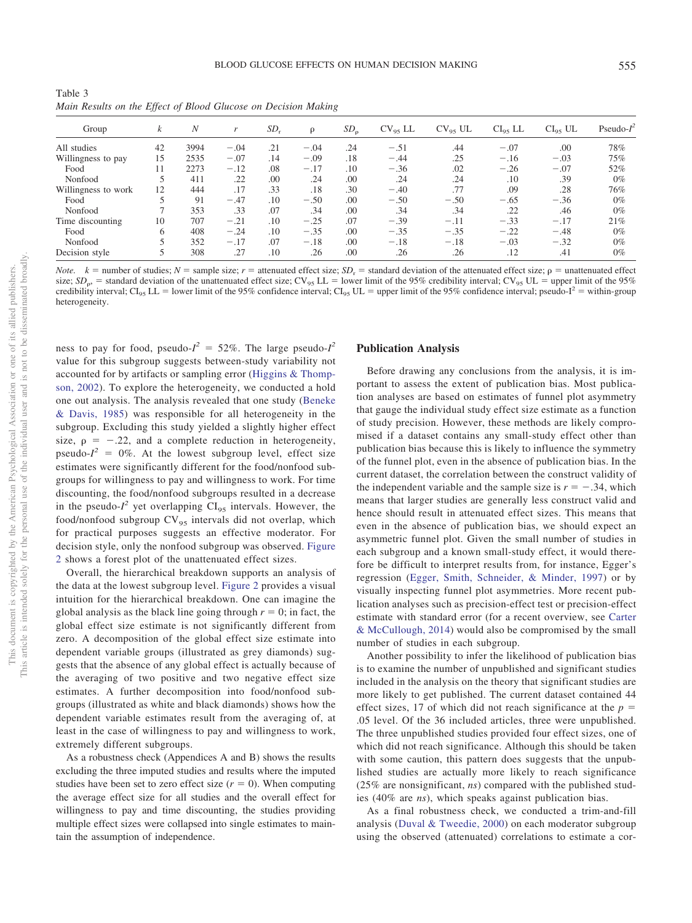<span id="page-9-0"></span>Table 3 *Main Results on the Effect of Blood Glucose on Decision Making*

| Group               | k  | N    | r      | $SD_r$ | $\rho$ | $SD_{\rho}$ | $CV_{95}$ LL | $CV_{95}$ UL | $CI_{95}$ LL | $CI_{95}$ UL | Pseudo- $I^2$ |
|---------------------|----|------|--------|--------|--------|-------------|--------------|--------------|--------------|--------------|---------------|
| All studies         | 42 | 3994 | $-.04$ | .21    | $-.04$ | .24         | $-.51$       | .44          | $-.07$       | .00          | 78%           |
| Willingness to pay  | 15 | 2535 | $-.07$ | .14    | $-.09$ | .18         | $-.44$       | .25          | $-.16$       | $-.03$       | 75%           |
| Food                | 11 | 2273 | $-.12$ | .08    | $-.17$ | .10         | $-.36$       | .02          | $-.26$       | $-.07$       | 52%           |
| Nonfood             |    | 411  | .22    | .00    | .24    | .00         | .24          | .24          | .10          | .39          | $0\%$         |
| Willingness to work | 12 | 444  | .17    | .33    | .18    | .30         | $-.40$       | .77          | .09          | .28          | 76%           |
| Food                |    | 91   | $-.47$ | .10    | $-.50$ | .00         | $-.50$       | $-.50$       | $-.65$       | $-.36$       | $0\%$         |
| Nonfood             |    | 353  | .33    | .07    | .34    | .00         | .34          | .34          | .22          | .46          | $0\%$         |
| Time discounting    | 10 | 707  | $-.21$ | .10    | $-.25$ | .07         | $-.39$       | $-.11$       | $-.33$       | $-.17$       | 21%           |
| Food                | 6  | 408  | $-.24$ | .10    | $-.35$ | .00         | $-.35$       | $-.35$       | $-.22$       | $-.48$       | $0\%$         |
| Nonfood             |    | 352  | $-.17$ | .07    | $-.18$ | .00         | $-.18$       | $-.18$       | $-.03$       | $-.32$       | $0\%$         |
| Decision style      |    | 308  | .27    | .10    | .26    | .00         | .26          | .26          | .12          | .41          | $0\%$         |

*Note.*  $k =$  number of studies;  $N =$  sample size;  $r =$  attenuated effect size;  $SD_r =$  standard deviation of the attenuated effect size;  $\rho =$  unattenuated effect size;  $SD_p$ , = standard deviation of the unattenuated effect size;  $CV_{95}$  LL = lower limit of the 95% credibility interval; CV<sub>95</sub> UL = upper limit of the 95% credibility interval; CI<sub>95</sub> LL = lower limit of the 95% confidence interval; CI<sub>95</sub> UL = upper limit of the 95% confidence interval; pseudo-I<sup>2</sup> = within-group heterogeneity.

ness to pay for food, pseudo- $I^2 = 52\%$ . The large pseudo- $I^2$ value for this subgroup suggests between-study variability not accounted for by artifacts or sampling error [\(Higgins & Thomp](#page-16-32)[son, 2002\)](#page-16-32). To explore the heterogeneity, we conducted a hold one out analysis. The analysis revealed that one study [\(Beneke](#page-15-16) [& Davis, 1985\)](#page-15-16) was responsible for all heterogeneity in the subgroup. Excluding this study yielded a slightly higher effect size,  $\rho = -.22$ , and a complete reduction in heterogeneity, pseudo- $I^2 = 0\%$ . At the lowest subgroup level, effect size estimates were significantly different for the food/nonfood subgroups for willingness to pay and willingness to work. For time discounting, the food/nonfood subgroups resulted in a decrease in the pseudo- $I^2$  yet overlapping  $CI_{95}$  intervals. However, the food/nonfood subgroup  $CV_{95}$  intervals did not overlap, which for practical purposes suggests an effective moderator. For decision style, only the nonfood subgroup was observed. [Figure](#page-11-0) [2](#page-11-0) shows a forest plot of the unattenuated effect sizes.

Overall, the hierarchical breakdown supports an analysis of the data at the lowest subgroup level. [Figure 2](#page-11-0) provides a visual intuition for the hierarchical breakdown. One can imagine the global analysis as the black line going through  $r = 0$ ; in fact, the global effect size estimate is not significantly different from zero. A decomposition of the global effect size estimate into dependent variable groups (illustrated as grey diamonds) suggests that the absence of any global effect is actually because of the averaging of two positive and two negative effect size estimates. A further decomposition into food/nonfood subgroups (illustrated as white and black diamonds) shows how the dependent variable estimates result from the averaging of, at least in the case of willingness to pay and willingness to work, extremely different subgroups.

As a robustness check (Appendices A and B) shows the results excluding the three imputed studies and results where the imputed studies have been set to zero effect size  $(r = 0)$ . When computing the average effect size for all studies and the overall effect for willingness to pay and time discounting, the studies providing multiple effect sizes were collapsed into single estimates to maintain the assumption of independence.

# **Publication Analysis**

Before drawing any conclusions from the analysis, it is important to assess the extent of publication bias. Most publication analyses are based on estimates of funnel plot asymmetry that gauge the individual study effect size estimate as a function of study precision. However, these methods are likely compromised if a dataset contains any small-study effect other than publication bias because this is likely to influence the symmetry of the funnel plot, even in the absence of publication bias. In the current dataset, the correlation between the construct validity of the independent variable and the sample size is  $r = -.34$ , which means that larger studies are generally less construct valid and hence should result in attenuated effect sizes. This means that even in the absence of publication bias, we should expect an asymmetric funnel plot. Given the small number of studies in each subgroup and a known small-study effect, it would therefore be difficult to interpret results from, for instance, Egger's regression [\(Egger, Smith, Schneider, & Minder, 1997\)](#page-15-30) or by visually inspecting funnel plot asymmetries. More recent publication analyses such as precision-effect test or precision-effect estimate with standard error (for a recent overview, see [Carter](#page-15-9) [& McCullough, 2014\)](#page-15-9) would also be compromised by the small number of studies in each subgroup.

Another possibility to infer the likelihood of publication bias is to examine the number of unpublished and significant studies included in the analysis on the theory that significant studies are more likely to get published. The current dataset contained 44 effect sizes, 17 of which did not reach significance at the  $p =$ .05 level. Of the 36 included articles, three were unpublished. The three unpublished studies provided four effect sizes, one of which did not reach significance. Although this should be taken with some caution, this pattern does suggests that the unpublished studies are actually more likely to reach significance (25% are nonsignificant, *ns*) compared with the published studies (40% are *ns*), which speaks against publication bias.

As a final robustness check, we conducted a trim-and-fill analysis [\(Duval & Tweedie, 2000\)](#page-15-31) on each moderator subgroup using the observed (attenuated) correlations to estimate a cor-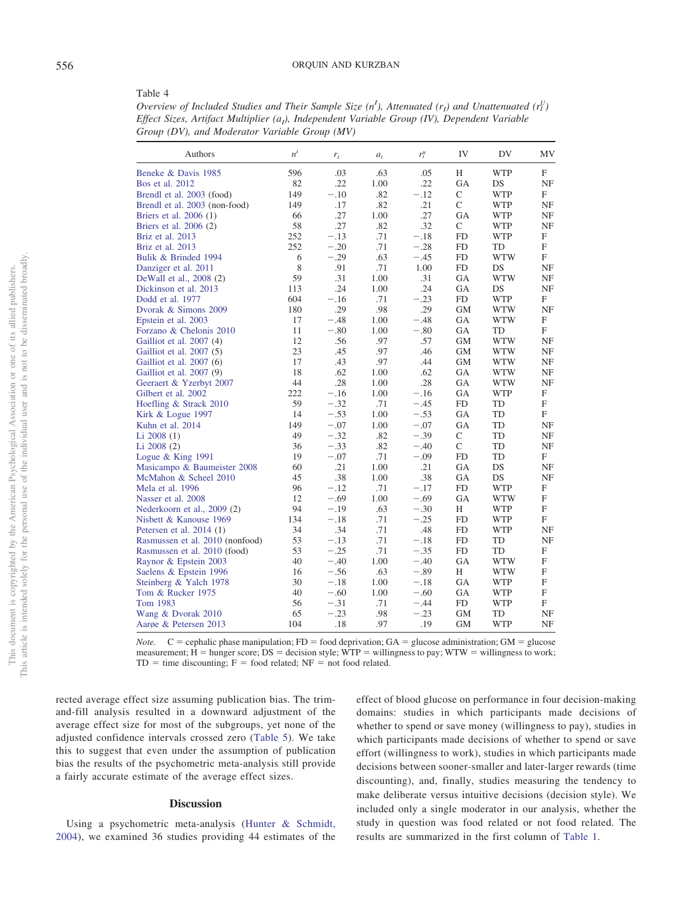*Overview of Included Studies and Their Sample Size*  $(n<sup>I</sup>)$ *, Attenuated*  $(r_I)$  *and Unattenuated*  $(r_I^U)$ Effect Sizes, Artifact Multiplier (a<sub>I</sub>), Independent Variable Group (IV), Dependent Variable *Group (DV), and Moderator Variable Group (MV)*

| Authors                         | $n^{i}$ | $r_i$  | $a_i$ | $r_i^{\mu}$ | IV           | DV         | MV |
|---------------------------------|---------|--------|-------|-------------|--------------|------------|----|
| Beneke & Davis 1985             | 596     | .03    | .63   | .05         | Н            | <b>WTP</b> | F  |
| Bos et al. 2012                 | 82      | .22    | 1.00  | .22         | GA           | DS         | NF |
| Brendl et al. 2003 (food)       | 149     | $-.10$ | .82   | $-.12$      | C            | <b>WTP</b> | F  |
| Brendl et al. 2003 (non-food)   | 149     | .17    | .82   | .21         | C            | <b>WTP</b> | NF |
| Briers et al. 2006 (1)          | 66      | .27    | 1.00  | .27         | GA           | <b>WTP</b> | NF |
| Briers et al. 2006 (2)          | 58      | .27    | .82   | .32         | $\mathsf{C}$ | <b>WTP</b> | NF |
| Briz et al. 2013                | 252     | $-.13$ | .71   | $-.18$      | <b>FD</b>    | <b>WTP</b> | F  |
| Briz et al. 2013                | 252     | $-.20$ | .71   | $-.28$      | FD           | TD         | F  |
| Bulik & Brinded 1994            | 6       | $-.29$ | .63   | $-.45$      | <b>FD</b>    | <b>WTW</b> | F  |
| Danziger et al. 2011            | 8       | .91    | .71   | 1.00        | ${\rm FD}$   | DS         | NF |
| DeWall et al., 2008 (2)         | 59      | .31    | 1.00  | .31         | <b>GA</b>    | <b>WTW</b> | NF |
| Dickinson et al. 2013           | 113     | .24    | 1.00  | .24         | GA           | DS         | NF |
| Dodd et al. 1977                | 604     | $-.16$ | .71   | $-.23$      | <b>FD</b>    | <b>WTP</b> | F  |
| Dvorak & Simons 2009            | 180     | .29    | .98   | .29         | <b>GM</b>    | <b>WTW</b> | NF |
| Epstein et al. 2003             | 17      | $-.48$ | 1.00  | $-.48$      | GA           | <b>WTW</b> | F  |
| Forzano & Chelonis 2010         | 11      | $-.80$ | 1.00  | $-.80$      | GA           | TD         | F  |
| Gailliot et al. 2007 (4)        | 12      | .56    | .97   | .57         | GМ           | <b>WTW</b> | NF |
| Gailliot et al. 2007 (5)        | 23      | .45    | .97   | .46         | <b>GM</b>    | <b>WTW</b> | NF |
| Gailliot et al. $2007(6)$       | 17      | .43    | .97   | .44         | <b>GM</b>    | <b>WTW</b> | NF |
| Gailliot et al. 2007 (9)        | 18      | .62    | 1.00  | .62         | <b>GA</b>    | <b>WTW</b> | NF |
| Geeraert & Yzerbyt 2007         | 44      | .28    | 1.00  | .28         | GA           | <b>WTW</b> | NF |
| Gilbert et al. 2002             | 222     | $-.16$ | 1.00  | $-.16$      | GA           | <b>WTP</b> | F  |
| Hoefling & Strack 2010          | 59      | $-.32$ | .71   | $-.45$      | <b>FD</b>    | TD         | F  |
| Kirk & Logue 1997               | 14      | $-.53$ | 1.00  | $-.53$      | <b>GA</b>    | TD         | F  |
| Kuhn et al. 2014                | 149     | $-.07$ | 1.00  | $-.07$      | GA           | TD         | NF |
| Li $2008(1)$                    | 49      | $-.32$ | .82   | $-.39$      | C            | <b>TD</b>  | NF |
| Li 2008 (2)                     | 36      | $-.33$ | .82   | $-.40$      | $\mathsf{C}$ | TD         | NF |
| Logue & King 1991               | 19      | $-.07$ | .71   | $-.09$      | <b>FD</b>    | TD         | F  |
| Masicampo & Baumeister 2008     | 60      | .21    | 1.00  | .21         | GA           | DS         | NF |
| McMahon & Scheel 2010           | 45      | .38    | 1.00  | .38         | GA           | DS         | NF |
| Mela et al. 1996                | 96      | $-.12$ | .71   | $-.17$      | <b>FD</b>    | <b>WTP</b> | F  |
| Nasser et al. 2008              | 12      | $-.69$ | 1.00  | $-.69$      | GA           | <b>WTW</b> | F  |
| Nederkoorn et al., 2009 (2)     | 94      | $-.19$ | .63   | $-.30$      | Н            | <b>WTP</b> | F  |
| Nisbett & Kanouse 1969          | 134     | $-.18$ | .71   | $-.25$      | ${\rm FD}$   | <b>WTP</b> | F  |
| Petersen et al. $2014(1)$       | 34      | .34    | .71   | .48         | <b>FD</b>    | <b>WTP</b> | NF |
| Rasmussen et al. 2010 (nonfood) | 53      | $-.13$ | .71   | $-.18$      | FD           | TD         | NF |
| Rasmussen et al. 2010 (food)    | 53      | $-.25$ | .71   | $-.35$      | <b>FD</b>    | TD         | F  |
| Raynor & Epstein 2003           | 40      | $-.40$ | 1.00  | $-.40$      | GA           | <b>WTW</b> | F  |
| Saelens & Epstein 1996          | 16      | $-.56$ | .63   | $-.89$      | H            | <b>WTW</b> | F  |
| Steinberg & Yalch 1978          | 30      | $-.18$ | 1.00  | $-.18$      | GA           | <b>WTP</b> | F  |
| Tom & Rucker 1975               | 40      | $-.60$ | 1.00  | $-.60$      | <b>GA</b>    | <b>WTP</b> | F  |
| Tom 1983                        | 56      | $-.31$ | .71   | $-.44$      | <b>FD</b>    | <b>WTP</b> | F  |
| Wang & Dvorak 2010              | 65      | $-.23$ | .98   | $-.23$      | <b>GM</b>    | TD         | NF |
| Aarge & Petersen 2013           | 104     | .18    | .97   | .19         | <b>GM</b>    | <b>WTP</b> | NF |
|                                 |         |        |       |             |              |            |    |

*Note.*  $C =$  cephalic phase manipulation; FD = food deprivation; GA = glucose administration; GM = glucose measurement;  $H =$  hunger score;  $DS =$  decision style; WTP = willingness to pay; WTW = willingness to work;  $TD =$  time discounting;  $F =$  food related;  $NF =$  not food related.

rected average effect size assuming publication bias. The trimand-fill analysis resulted in a downward adjustment of the average effect size for most of the subgroups, yet none of the adjusted confidence intervals crossed zero [\(Table 5\)](#page-12-0). We take this to suggest that even under the assumption of publication bias the results of the psychometric meta-analysis still provide a fairly accurate estimate of the average effect sizes.

#### **Discussion**

Using a psychometric meta-analysis [\(Hunter & Schmidt,](#page-16-27) [2004\)](#page-16-27), we examined 36 studies providing 44 estimates of the effect of blood glucose on performance in four decision-making domains: studies in which participants made decisions of whether to spend or save money (willingness to pay), studies in which participants made decisions of whether to spend or save effort (willingness to work), studies in which participants made decisions between sooner-smaller and later-larger rewards (time discounting), and, finally, studies measuring the tendency to make deliberate versus intuitive decisions (decision style). We included only a single moderator in our analysis, whether the study in question was food related or not food related. The results are summarized in the first column of [Table 1.](#page-2-0)

<span id="page-10-0"></span>Table 4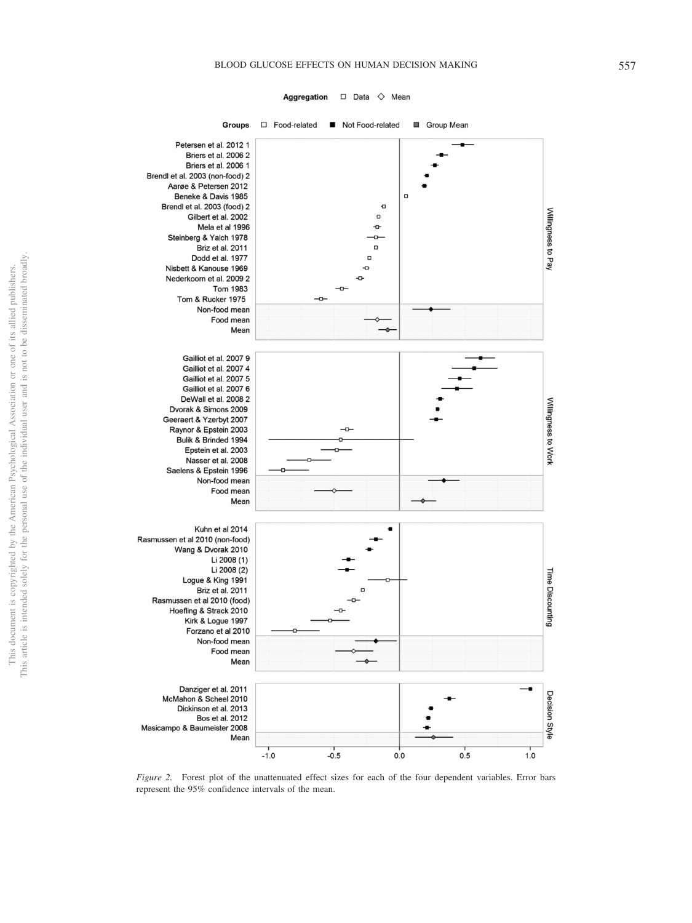

#### $\square$  Data  $\diamond$  Mean Aggregation

<span id="page-11-0"></span>*Figure 2.* Forest plot of the unattenuated effect sizes for each of the four dependent variables. Error bars represent the 95% confidence intervals of the mean.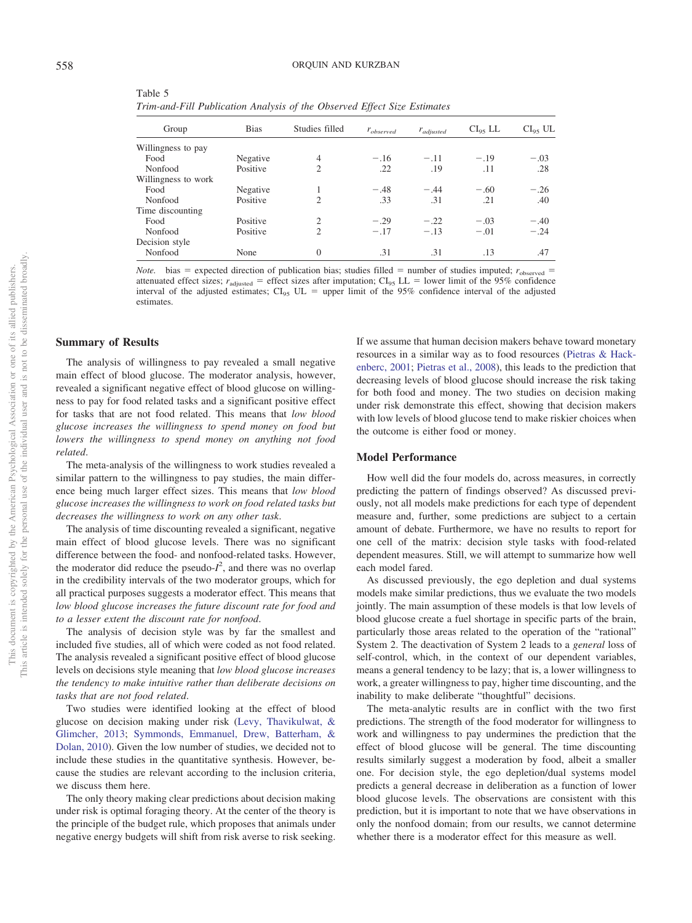| Group               | <b>Bias</b> | Studies filled | $r_{observed}$ | $r_{adjusted}$ | $CI_{95}$ LL | $CI_{95}$ UL |
|---------------------|-------------|----------------|----------------|----------------|--------------|--------------|
| Willingness to pay  |             |                |                |                |              |              |
| Food                | Negative    | 4              | $-.16$         | $-.11$         | $-.19$       | $-.03$       |
| Nonfood             | Positive    | $\overline{2}$ | .22            | .19            | .11          | .28          |
| Willingness to work |             |                |                |                |              |              |
| Food                | Negative    |                | $-.48$         | $-.44$         | $-.60$       | $-.26$       |
| Nonfood             | Positive    | $\overline{c}$ | .33            | .31            | .21          | .40          |
| Time discounting    |             |                |                |                |              |              |
| Food                | Positive    | $\overline{c}$ | $-.29$         | $-.22$         | $-.03$       | $-.40$       |
| Nonfood             | Positive    | $\overline{c}$ | $-.17$         | $-.13$         | $-.01$       | $-.24$       |
| Decision style      |             |                |                |                |              |              |
| Nonfood             | None        | 0              | .31            | .31            | .13          | .47          |
|                     |             |                |                |                |              |              |

<span id="page-12-0"></span>Table 5 *Trim-and-Fill Publication Analysis of the Observed Effect Size Estimates*

*Note.* bias = expected direction of publication bias; studies filled = number of studies imputed;  $r_{observed}$  = attenuated effect sizes;  $r_{\text{adjusted}}$  = effect sizes after imputation; CI<sub>95</sub> LL = lower limit of the 95% confidence interval of the adjusted estimates;  $CI_{95}$  UL = upper limit of the 95% confidence interval of the adjusted estimates.

#### **Summary of Results**

The analysis of willingness to pay revealed a small negative main effect of blood glucose. The moderator analysis, however, revealed a significant negative effect of blood glucose on willingness to pay for food related tasks and a significant positive effect for tasks that are not food related. This means that *low blood glucose increases the willingness to spend money on food but lowers the willingness to spend money on anything not food related*.

The meta-analysis of the willingness to work studies revealed a similar pattern to the willingness to pay studies, the main difference being much larger effect sizes. This means that *low blood glucose increases the willingness to work on food related tasks but decreases the willingness to work on any other task*.

The analysis of time discounting revealed a significant, negative main effect of blood glucose levels. There was no significant difference between the food- and nonfood-related tasks. However, the moderator did reduce the pseudo- $I^2$ , and there was no overlap in the credibility intervals of the two moderator groups, which for all practical purposes suggests a moderator effect. This means that *low blood glucose increases the future discount rate for food and to a lesser extent the discount rate for nonfood*.

The analysis of decision style was by far the smallest and included five studies, all of which were coded as not food related. The analysis revealed a significant positive effect of blood glucose levels on decisions style meaning that *low blood glucose increases the tendency to make intuitive rather than deliberate decisions on tasks that are not food related*.

Two studies were identified looking at the effect of blood glucose on decision making under risk [\(Levy, Thavikulwat, &](#page-17-35) [Glimcher, 2013;](#page-17-35) [Symmonds, Emmanuel, Drew, Batterham, &](#page-18-25) [Dolan, 2010\)](#page-18-25). Given the low number of studies, we decided not to include these studies in the quantitative synthesis. However, because the studies are relevant according to the inclusion criteria, we discuss them here.

The only theory making clear predictions about decision making under risk is optimal foraging theory. At the center of the theory is the principle of the budget rule, which proposes that animals under negative energy budgets will shift from risk averse to risk seeking.

If we assume that human decision makers behave toward monetary resources in a similar way as to food resources [\(Pietras & Hack](#page-17-21)[enberc, 2001;](#page-17-21) [Pietras et al., 2008\)](#page-17-22), this leads to the prediction that decreasing levels of blood glucose should increase the risk taking for both food and money. The two studies on decision making under risk demonstrate this effect, showing that decision makers with low levels of blood glucose tend to make riskier choices when the outcome is either food or money.

#### **Model Performance**

How well did the four models do, across measures, in correctly predicting the pattern of findings observed? As discussed previously, not all models make predictions for each type of dependent measure and, further, some predictions are subject to a certain amount of debate. Furthermore, we have no results to report for one cell of the matrix: decision style tasks with food-related dependent measures. Still, we will attempt to summarize how well each model fared.

As discussed previously, the ego depletion and dual systems models make similar predictions, thus we evaluate the two models jointly. The main assumption of these models is that low levels of blood glucose create a fuel shortage in specific parts of the brain, particularly those areas related to the operation of the "rational" System 2. The deactivation of System 2 leads to a *general* loss of self-control, which, in the context of our dependent variables, means a general tendency to be lazy; that is, a lower willingness to work, a greater willingness to pay, higher time discounting, and the inability to make deliberate "thoughtful" decisions.

The meta-analytic results are in conflict with the two first predictions. The strength of the food moderator for willingness to work and willingness to pay undermines the prediction that the effect of blood glucose will be general. The time discounting results similarly suggest a moderation by food, albeit a smaller one. For decision style, the ego depletion/dual systems model predicts a general decrease in deliberation as a function of lower blood glucose levels. The observations are consistent with this prediction, but it is important to note that we have observations in only the nonfood domain; from our results, we cannot determine whether there is a moderator effect for this measure as well.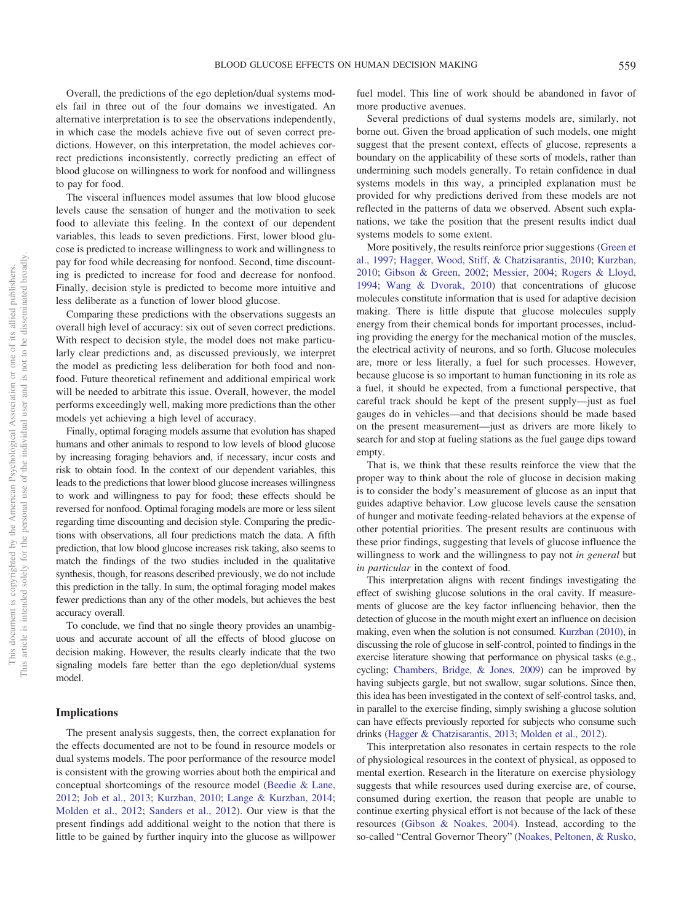Overall, the predictions of the ego depletion/dual systems models fail in three out of the four domains we investigated. An alternative interpretation is to see the observations independently, in which case the models achieve five out of seven correct predictions. However, on this interpretation, the model achieves correct predictions inconsistently, correctly predicting an effect of blood glucose on willingness to work for nonfood and willingness to pay for food.

The visceral influences model assumes that low blood glucose levels cause the sensation of hunger and the motivation to seek food to alleviate this feeling. In the context of our dependent variables, this leads to seven predictions. First, lower blood glucose is predicted to increase willingness to work and willingness to pay for food while decreasing for nonfood. Second, time discounting is predicted to increase for food and decrease for nonfood. Finally, decision style is predicted to become more intuitive and less deliberate as a function of lower blood glucose.

Comparing these predictions with the observations suggests an overall high level of accuracy: six out of seven correct predictions. With respect to decision style, the model does not make particularly clear predictions and, as discussed previously, we interpret the model as predicting less deliberation for both food and nonfood. Future theoretical refinement and additional empirical work will be needed to arbitrate this issue. Overall, however, the model performs exceedingly well, making more predictions than the other models yet achieving a high level of accuracy.

Finally, optimal foraging models assume that evolution has shaped humans and other animals to respond to low levels of blood glucose by increasing foraging behaviors and, if necessary, incur costs and risk to obtain food. In the context of our dependent variables, this leads to the predictions that lower blood glucose increases willingness to work and willingness to pay for food; these effects should be reversed for nonfood. Optimal foraging models are more or less silent regarding time discounting and decision style. Comparing the predictions with observations, all four predictions match the data. A fifth prediction, that low blood glucose increases risk taking, also seems to match the findings of the two studies included in the qualitative synthesis, though, for reasons described previously, we do not include this prediction in the tally. In sum, the optimal foraging model makes fewer predictions than any of the other models, but achieves the best accuracy overall.

To conclude, we find that no single theory provides an unambiguous and accurate account of all the effects of blood glucose on decision making. However, the results clearly indicate that the two signaling models fare better than the ego depletion/dual systems model.

#### **Implications**

The present analysis suggests, then, the correct explanation for the effects documented are not to be found in resource models or dual systems models. The poor performance of the resource model is consistent with the growing worries about both the empirical and conceptual shortcomings of the resource model [\(Beedie & Lane,](#page-15-11) [2012;](#page-15-11) [Job et al., 2013;](#page-16-13) [Kurzban, 2010;](#page-16-10) [Lange & Kurzban, 2014;](#page-17-36) [Molden et al., 2012;](#page-17-18) [Sanders et al., 2012\)](#page-18-7). Our view is that the present findings add additional weight to the notion that there is little to be gained by further inquiry into the glucose as willpower

fuel model. This line of work should be abandoned in favor of more productive avenues.

Several predictions of dual systems models are, similarly, not borne out. Given the broad application of such models, one might suggest that the present context, effects of glucose, represents a boundary on the applicability of these sorts of models, rather than undermining such models generally. To retain confidence in dual systems models in this way, a principled explanation must be provided for why predictions derived from these models are not reflected in the patterns of data we observed. Absent such explanations, we take the position that the present results indict dual systems models to some extent.

More positively, the results reinforce prior suggestions [\(Green et](#page-16-31) [al., 1997;](#page-16-31) [Hagger, Wood, Stiff, & Chatzisarantis, 2010;](#page-16-9) [Kurzban,](#page-16-10) [2010;](#page-16-10) [Gibson & Green, 2002;](#page-17-7) [Messier, 2004;](#page-17-9) [Rogers & Lloyd,](#page-18-26) [1994;](#page-18-26) [Wang & Dvorak, 2010\)](#page-18-3) that concentrations of glucose molecules constitute information that is used for adaptive decision making. There is little dispute that glucose molecules supply energy from their chemical bonds for important processes, including providing the energy for the mechanical motion of the muscles, the electrical activity of neurons, and so forth. Glucose molecules are, more or less literally, a fuel for such processes. However, because glucose is so important to human functioning in its role as a fuel, it should be expected, from a functional perspective, that careful track should be kept of the present supply—just as fuel gauges do in vehicles—and that decisions should be made based on the present measurement—just as drivers are more likely to search for and stop at fueling stations as the fuel gauge dips toward empty.

That is, we think that these results reinforce the view that the proper way to think about the role of glucose in decision making is to consider the body's measurement of glucose as an input that guides adaptive behavior. Low glucose levels cause the sensation of hunger and motivate feeding-related behaviors at the expense of other potential priorities. The present results are continuous with these prior findings, suggesting that levels of glucose influence the willingness to work and the willingness to pay not *in general* but *in particular* in the context of food.

This interpretation aligns with recent findings investigating the effect of swishing glucose solutions in the oral cavity. If measurements of glucose are the key factor influencing behavior, then the detection of glucose in the mouth might exert an influence on decision making, even when the solution is not consumed. [Kurzban \(2010\),](#page-16-10) in discussing the role of glucose in self-control, pointed to findings in the exercise literature showing that performance on physical tasks (e.g., cycling; [Chambers, Bridge, & Jones, 2009\)](#page-15-32) can be improved by having subjects gargle, but not swallow, sugar solutions. Since then, this idea has been investigated in the context of self-control tasks, and, in parallel to the exercise finding, simply swishing a glucose solution can have effects previously reported for subjects who consume such drinks [\(Hagger & Chatzisarantis, 2013;](#page-16-12) [Molden et al., 2012\)](#page-17-18).

This interpretation also resonates in certain respects to the role of physiological resources in the context of physical, as opposed to mental exertion. Research in the literature on exercise physiology suggests that while resources used during exercise are, of course, consumed during exertion, the reason that people are unable to continue exerting physical effort is not because of the lack of these resources [\(Gibson & Noakes, 2004\)](#page-16-33). Instead, according to the so-called "Central Governor Theory" [\(Noakes, Peltonen, & Rusko,](#page-17-37)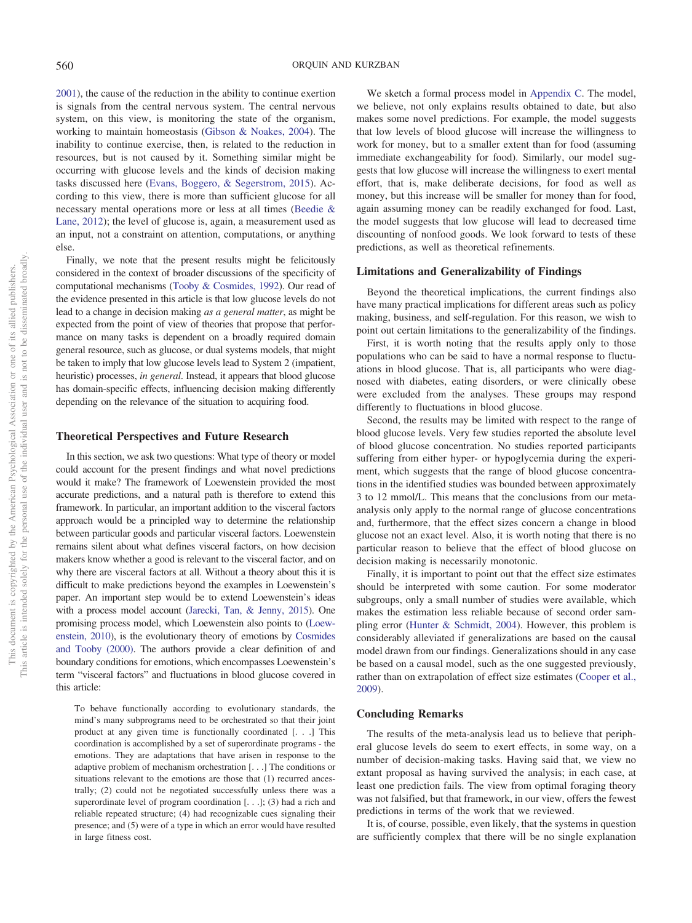[2001\)](#page-17-37), the cause of the reduction in the ability to continue exertion is signals from the central nervous system. The central nervous system, on this view, is monitoring the state of the organism, working to maintain homeostasis [\(Gibson & Noakes, 2004\)](#page-16-33). The inability to continue exercise, then, is related to the reduction in resources, but is not caused by it. Something similar might be occurring with glucose levels and the kinds of decision making tasks discussed here [\(Evans, Boggero, & Segerstrom, 2015\)](#page-16-34). According to this view, there is more than sufficient glucose for all necessary mental operations more or less at all times [\(Beedie &](#page-15-11) [Lane, 2012\)](#page-15-11); the level of glucose is, again, a measurement used as an input, not a constraint on attention, computations, or anything else.

Finally, we note that the present results might be felicitously considered in the context of broader discussions of the specificity of computational mechanisms [\(Tooby & Cosmides, 1992\)](#page-18-27). Our read of the evidence presented in this article is that low glucose levels do not lead to a change in decision making *as a general matter*, as might be expected from the point of view of theories that propose that performance on many tasks is dependent on a broadly required domain general resource, such as glucose, or dual systems models, that might be taken to imply that low glucose levels lead to System 2 (impatient, heuristic) processes, *in general*. Instead, it appears that blood glucose has domain-specific effects, influencing decision making differently depending on the relevance of the situation to acquiring food.

#### **Theoretical Perspectives and Future Research**

In this section, we ask two questions: What type of theory or model could account for the present findings and what novel predictions would it make? The framework of Loewenstein provided the most accurate predictions, and a natural path is therefore to extend this framework. In particular, an important addition to the visceral factors approach would be a principled way to determine the relationship between particular goods and particular visceral factors. Loewenstein remains silent about what defines visceral factors, on how decision makers know whether a good is relevant to the visceral factor, and on why there are visceral factors at all. Without a theory about this it is difficult to make predictions beyond the examples in Loewenstein's paper. An important step would be to extend Loewenstein's ideas with a process model account [\(Jarecki, Tan, & Jenny, 2015\)](#page-16-35). One promising process model, which Loewenstein also points to [\(Loew](#page-17-38)[enstein, 2010\)](#page-17-38), is the evolutionary theory of emotions by [Cosmides](#page-15-33) [and Tooby \(2000\).](#page-15-33) The authors provide a clear definition of and boundary conditions for emotions, which encompasses Loewenstein's term "visceral factors" and fluctuations in blood glucose covered in this article:

To behave functionally according to evolutionary standards, the mind's many subprograms need to be orchestrated so that their joint product at any given time is functionally coordinated [. . .] This coordination is accomplished by a set of superordinate programs - the emotions. They are adaptations that have arisen in response to the adaptive problem of mechanism orchestration [. . .] The conditions or situations relevant to the emotions are those that (1) recurred ancestrally; (2) could not be negotiated successfully unless there was a superordinate level of program coordination [. . .]; (3) had a rich and reliable repeated structure; (4) had recognizable cues signaling their presence; and (5) were of a type in which an error would have resulted in large fitness cost.

We sketch a formal process model in [Appendix C.](#page-20-0) The model, we believe, not only explains results obtained to date, but also makes some novel predictions. For example, the model suggests that low levels of blood glucose will increase the willingness to work for money, but to a smaller extent than for food (assuming immediate exchangeability for food). Similarly, our model suggests that low glucose will increase the willingness to exert mental effort, that is, make deliberate decisions, for food as well as money, but this increase will be smaller for money than for food, again assuming money can be readily exchanged for food. Last, the model suggests that low glucose will lead to decreased time discounting of nonfood goods. We look forward to tests of these predictions, as well as theoretical refinements.

#### **Limitations and Generalizability of Findings**

Beyond the theoretical implications, the current findings also have many practical implications for different areas such as policy making, business, and self-regulation. For this reason, we wish to point out certain limitations to the generalizability of the findings.

First, it is worth noting that the results apply only to those populations who can be said to have a normal response to fluctuations in blood glucose. That is, all participants who were diagnosed with diabetes, eating disorders, or were clinically obese were excluded from the analyses. These groups may respond differently to fluctuations in blood glucose.

Second, the results may be limited with respect to the range of blood glucose levels. Very few studies reported the absolute level of blood glucose concentration. No studies reported participants suffering from either hyper- or hypoglycemia during the experiment, which suggests that the range of blood glucose concentrations in the identified studies was bounded between approximately 3 to 12 mmol/L. This means that the conclusions from our metaanalysis only apply to the normal range of glucose concentrations and, furthermore, that the effect sizes concern a change in blood glucose not an exact level. Also, it is worth noting that there is no particular reason to believe that the effect of blood glucose on decision making is necessarily monotonic.

Finally, it is important to point out that the effect size estimates should be interpreted with some caution. For some moderator subgroups, only a small number of studies were available, which makes the estimation less reliable because of second order sampling error [\(Hunter & Schmidt, 2004\)](#page-16-27). However, this problem is considerably alleviated if generalizations are based on the causal model drawn from our findings. Generalizations should in any case be based on a causal model, such as the one suggested previously, rather than on extrapolation of effect size estimates [\(Cooper et al.,](#page-15-28) [2009\)](#page-15-28).

#### **Concluding Remarks**

The results of the meta-analysis lead us to believe that peripheral glucose levels do seem to exert effects, in some way, on a number of decision-making tasks. Having said that, we view no extant proposal as having survived the analysis; in each case, at least one prediction fails. The view from optimal foraging theory was not falsified, but that framework, in our view, offers the fewest predictions in terms of the work that we reviewed.

It is, of course, possible, even likely, that the systems in question are sufficiently complex that there will be no single explanation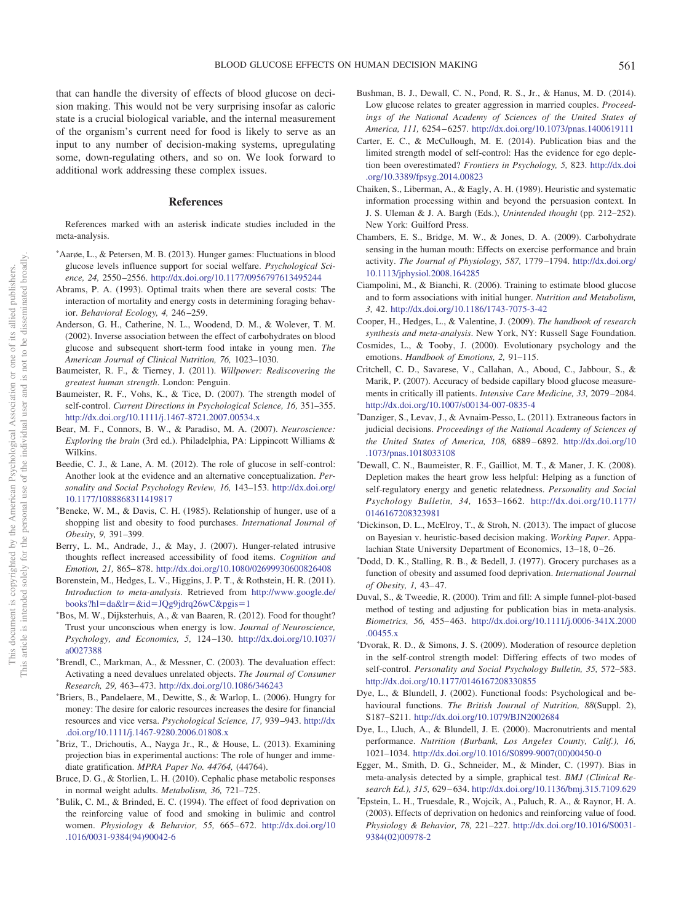that can handle the diversity of effects of blood glucose on decision making. This would not be very surprising insofar as caloric state is a crucial biological variable, and the internal measurement of the organism's current need for food is likely to serve as an input to any number of decision-making systems, upregulating some, down-regulating others, and so on. We look forward to additional work addressing these complex issues.

#### **References**

References marked with an asterisk indicate studies included in the meta-analysis.

- <span id="page-15-18"></span>\*Aarøe, L., & Petersen, M. B. (2013). Hunger games: Fluctuations in blood glucose levels influence support for social welfare. *Psychological Science, 24,* 2550–2556. <http://dx.doi.org/10.1177/0956797613495244>
- <span id="page-15-14"></span>Abrams, P. A. (1993). Optimal traits when there are several costs: The interaction of mortality and energy costs in determining foraging behavior. *Behavioral Ecology, 4,* 246–259.
- <span id="page-15-26"></span>Anderson, G. H., Catherine, N. L., Woodend, D. M., & Wolever, T. M. (2002). Inverse association between the effect of carbohydrates on blood glucose and subsequent short-term food intake in young men. *The American Journal of Clinical Nutrition, 76,* 1023–1030.
- <span id="page-15-5"></span>Baumeister, R. F., & Tierney, J. (2011). *Willpower: Rediscovering the greatest human strength*. London: Penguin.
- <span id="page-15-10"></span>Baumeister, R. F., Vohs, K., & Tice, D. (2007). The strength model of self-control. *Current Directions in Psychological Science, 16,* 351–355. <http://dx.doi.org/10.1111/j.1467-8721.2007.00534.x>
- <span id="page-15-1"></span>Bear, M. F., Connors, B. W., & Paradiso, M. A. (2007). *Neuroscience: Exploring the brain* (3rd ed.). Philadelphia, PA: Lippincott Williams & Wilkins.
- <span id="page-15-11"></span>Beedie, C. J., & Lane, A. M. (2012). The role of glucose in self-control: Another look at the evidence and an alternative conceptualization. *Personality and Social Psychology Review, 16,* 143–153. [http://dx.doi.org/](http://dx.doi.org/10.1177/1088868311419817) [10.1177/1088868311419817](http://dx.doi.org/10.1177/1088868311419817)
- <span id="page-15-16"></span>- Beneke, W. M., & Davis, C. H. (1985). Relationship of hunger, use of a shopping list and obesity to food purchases. *International Journal of Obesity, 9,* 391–399.
- <span id="page-15-2"></span>Berry, L. M., Andrade, J., & May, J. (2007). Hunger-related intrusive thoughts reflect increased accessibility of food items. *Cognition and Emotion, 21,* 865–878. <http://dx.doi.org/10.1080/02699930600826408>
- <span id="page-15-29"></span>Borenstein, M., Hedges, L. V., Higgins, J. P. T., & Rothstein, H. R. (2011). *Introduction to meta-analysis*. Retrieved from [http://www.google.de/](http://www.google.de/books?hl=da&lr=&id=JQg9jdrq26wC&pgis=1) books?hl=da&lr=&id=[JQg9jdrq26wC&pgis](http://www.google.de/books?hl=da&lr=&id=JQg9jdrq26wC&pgis=1)=1
- <span id="page-15-22"></span>- Bos, M. W., Dijksterhuis, A., & van Baaren, R. (2012). Food for thought? Trust your unconscious when energy is low. *Journal of Neuroscience, Psychology, and Economics, 5,* 124–130. [http://dx.doi.org/10.1037/](http://dx.doi.org/10.1037/a0027388) [a0027388](http://dx.doi.org/10.1037/a0027388)
- <span id="page-15-15"></span>- Brendl, C., Markman, A., & Messner, C. (2003). The devaluation effect: Activating a need devalues unrelated objects. *The Journal of Consumer Research, 29,* 463–473. <http://dx.doi.org/10.1086/346243>
- <span id="page-15-17"></span>- Briers, B., Pandelaere, M., Dewitte, S., & Warlop, L. (2006). Hungry for money: The desire for caloric resources increases the desire for financial resources and vice versa. *Psychological Science, 17,* 939–943. [http://dx](http://dx.doi.org/10.1111/j.1467-9280.2006.01808.x) [.doi.org/10.1111/j.1467-9280.2006.01808.x](http://dx.doi.org/10.1111/j.1467-9280.2006.01808.x)
- <span id="page-15-7"></span>- Briz, T., Drichoutis, A., Nayga Jr., R., & House, L. (2013). Examining projection bias in experimental auctions: The role of hunger and immediate gratification. *MPRA Paper No. 44764,* (44764).
- <span id="page-15-25"></span>Bruce, D. G., & Storlien, L. H. (2010). Cephalic phase metabolic responses in normal weight adults. *Metabolism, 36,* 721–725.
- <span id="page-15-20"></span>- Bulik, C. M., & Brinded, E. C. (1994). The effect of food deprivation on the reinforcing value of food and smoking in bulimic and control women. *Physiology & Behavior, 55,* 665–672. [http://dx.doi.org/10](http://dx.doi.org/10.1016/0031-9384%2894%2990042-6) [.1016/0031-9384\(94\)90042-6](http://dx.doi.org/10.1016/0031-9384%2894%2990042-6)
- <span id="page-15-0"></span>Bushman, B. J., Dewall, C. N., Pond, R. S., Jr., & Hanus, M. D. (2014). Low glucose relates to greater aggression in married couples. *Proceedings of the National Academy of Sciences of the United States of America, 111,* 6254–6257. <http://dx.doi.org/10.1073/pnas.1400619111>
- <span id="page-15-9"></span>Carter, E. C., & McCullough, M. E. (2014). Publication bias and the limited strength model of self-control: Has the evidence for ego depletion been overestimated? *Frontiers in Psychology, 5,* 823. [http://dx.doi](http://dx.doi.org/10.3389/fpsyg.2014.00823) [.org/10.3389/fpsyg.2014.00823](http://dx.doi.org/10.3389/fpsyg.2014.00823)
- <span id="page-15-12"></span>Chaiken, S., Liberman, A., & Eagly, A. H. (1989). Heuristic and systematic information processing within and beyond the persuasion context. In J. S. Uleman & J. A. Bargh (Eds.), *Unintended thought* (pp. 212–252). New York: Guilford Press.
- <span id="page-15-32"></span>Chambers, E. S., Bridge, M. W., & Jones, D. A. (2009). Carbohydrate sensing in the human mouth: Effects on exercise performance and brain activity. *The Journal of Physiology, 587,* 1779–1794. [http://dx.doi.org/](http://dx.doi.org/10.1113/jphysiol.2008.164285) [10.1113/jphysiol.2008.164285](http://dx.doi.org/10.1113/jphysiol.2008.164285)
- <span id="page-15-27"></span>Ciampolini, M., & Bianchi, R. (2006). Training to estimate blood glucose and to form associations with initial hunger. *Nutrition and Metabolism, 3,* 42. <http://dx.doi.org/10.1186/1743-7075-3-42>
- <span id="page-15-28"></span>Cooper, H., Hedges, L., & Valentine, J. (2009). *The handbook of research synthesis and meta-analysis*. New York, NY: Russell Sage Foundation.
- <span id="page-15-33"></span>Cosmides, L., & Tooby, J. (2000). Evolutionary psychology and the emotions. *Handbook of Emotions, 2,* 91–115.
- <span id="page-15-24"></span>Critchell, C. D., Savarese, V., Callahan, A., Aboud, C., Jabbour, S., & Marik, P. (2007). Accuracy of bedside capillary blood glucose measurements in critically ill patients. *Intensive Care Medicine, 33,* 2079–2084. <http://dx.doi.org/10.1007/s00134-007-0835-4>
- <span id="page-15-23"></span>- Danziger, S., Levav, J., & Avnaim-Pesso, L. (2011). Extraneous factors in judicial decisions. *Proceedings of the National Academy of Sciences of the United States of America, 108,* 6889–6892. [http://dx.doi.org/10](http://dx.doi.org/10.1073/pnas.1018033108) [.1073/pnas.1018033108](http://dx.doi.org/10.1073/pnas.1018033108)
- <span id="page-15-19"></span>- Dewall, C. N., Baumeister, R. F., Gailliot, M. T., & Maner, J. K. (2008). Depletion makes the heart grow less helpful: Helping as a function of self-regulatory energy and genetic relatedness. *Personality and Social Psychology Bulletin, 34,* 1653–1662. [http://dx.doi.org/10.1177/](http://dx.doi.org/10.1177/0146167208323981) [0146167208323981](http://dx.doi.org/10.1177/0146167208323981)
- <span id="page-15-13"></span>- Dickinson, D. L., McElroy, T., & Stroh, N. (2013). The impact of glucose on Bayesian v. heuristic-based decision making. *Working Paper*. Appalachian State University Department of Economics, 13–18, 0–26.
- <span id="page-15-6"></span>- Dodd, D. K., Stalling, R. B., & Bedell, J. (1977). Grocery purchases as a function of obesity and assumed food deprivation. *International Journal of Obesity, 1,* 43–47.
- <span id="page-15-31"></span>Duval, S., & Tweedie, R. (2000). Trim and fill: A simple funnel-plot-based method of testing and adjusting for publication bias in meta-analysis. *Biometrics, 56,* 455–463. [http://dx.doi.org/10.1111/j.0006-341X.2000](http://dx.doi.org/10.1111/j.0006-341X.2000.00455.x) [.00455.x](http://dx.doi.org/10.1111/j.0006-341X.2000.00455.x)
- <span id="page-15-8"></span>- Dvorak, R. D., & Simons, J. S. (2009). Moderation of resource depletion in the self-control strength model: Differing effects of two modes of self-control. *Personality and Social Psychology Bulletin, 35,* 572–583. <http://dx.doi.org/10.1177/0146167208330855>
- <span id="page-15-3"></span>Dye, L., & Blundell, J. (2002). Functional foods: Psychological and behavioural functions. *The British Journal of Nutrition, 88*(Suppl. 2), S187–S211. <http://dx.doi.org/10.1079/BJN2002684>
- <span id="page-15-4"></span>Dye, L., Lluch, A., & Blundell, J. E. (2000). Macronutrients and mental performance. *Nutrition (Burbank, Los Angeles County, Calif.), 16,* 1021–1034. [http://dx.doi.org/10.1016/S0899-9007\(00\)00450-0](http://dx.doi.org/10.1016/S0899-9007%2800%2900450-0)
- <span id="page-15-30"></span>Egger, M., Smith, D. G., Schneider, M., & Minder, C. (1997). Bias in meta-analysis detected by a simple, graphical test. *BMJ (Clinical Research Ed.), 315,* 629–634. <http://dx.doi.org/10.1136/bmj.315.7109.629>
- <span id="page-15-21"></span>- Epstein, L. H., Truesdale, R., Wojcik, A., Paluch, R. A., & Raynor, H. A. (2003). Effects of deprivation on hedonics and reinforcing value of food. *Physiology & Behavior, 78,* 221–227. [http://dx.doi.org/10.1016/S0031-](http://dx.doi.org/10.1016/S0031-9384%2802%2900978-2) [9384\(02\)00978-2](http://dx.doi.org/10.1016/S0031-9384%2802%2900978-2)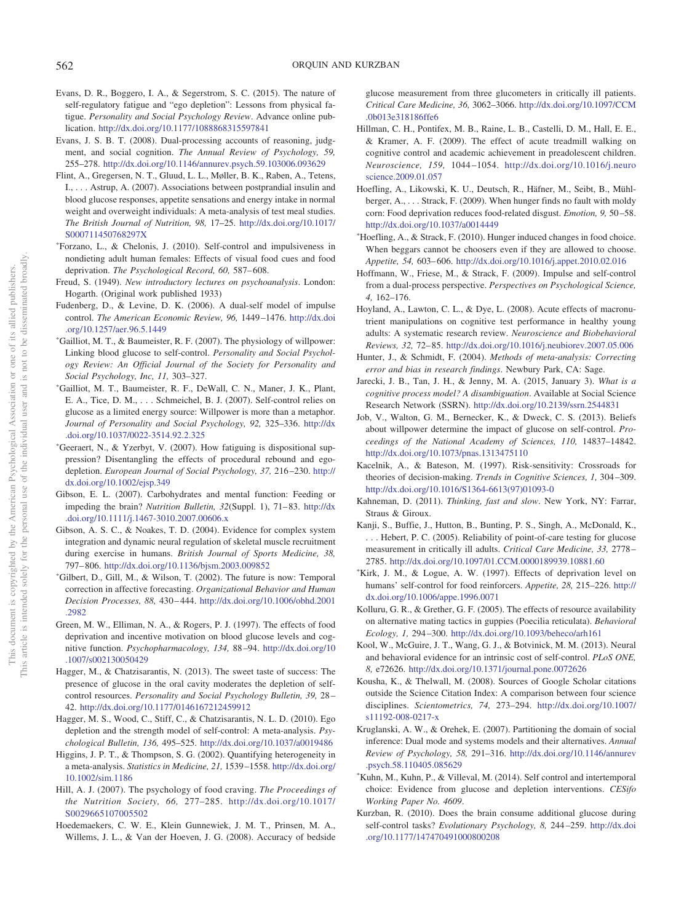- <span id="page-16-34"></span>Evans, D. R., Boggero, I. A., & Segerstrom, S. C. (2015). The nature of self-regulatory fatigue and "ego depletion": Lessons from physical fatigue. *Personality and Social Psychology Review*. Advance online publication. <http://dx.doi.org/10.1177/1088868315597841>
- <span id="page-16-18"></span>Evans, J. S. B. T. (2008). Dual-processing accounts of reasoning, judgment, and social cognition. *The Annual Review of Psychology, 59,* 255–278. <http://dx.doi.org/10.1146/annurev.psych.59.103006.093629>
- <span id="page-16-30"></span>Flint, A., Gregersen, N. T., Gluud, L. L., Møller, B. K., Raben, A., Tetens, I., . . . Astrup, A. (2007). Associations between postprandial insulin and blood glucose responses, appetite sensations and energy intake in normal weight and overweight individuals: A meta-analysis of test meal studies. *The British Journal of Nutrition, 98,* 17–25. [http://dx.doi.org/10.1017/](http://dx.doi.org/10.1017/S000711450768297X) [S000711450768297X](http://dx.doi.org/10.1017/S000711450768297X)
- <span id="page-16-5"></span>- Forzano, L., & Chelonis, J. (2010). Self-control and impulsiveness in nondieting adult human females: Effects of visual food cues and food deprivation. *The Psychological Record, 60,* 587–608.
- <span id="page-16-17"></span>Freud, S. (1949). *New introductory lectures on psychoanalysis*. London: Hogarth. (Original work published 1933)
- <span id="page-16-21"></span>Fudenberg, D., & Levine, D. K. (2006). A dual-self model of impulse control. *The American Economic Review, 96,* 1449–1476. [http://dx.doi](http://dx.doi.org/10.1257/aer.96.5.1449) [.org/10.1257/aer.96.5.1449](http://dx.doi.org/10.1257/aer.96.5.1449)
- <span id="page-16-15"></span>- Gailliot, M. T., & Baumeister, R. F. (2007). The physiology of willpower: Linking blood glucose to self-control. *Personality and Social Psychology Review: An Official Journal of the Society for Personality and Social Psychology, Inc, 11,* 303–327.
- <span id="page-16-0"></span>- Gailliot, M. T., Baumeister, R. F., DeWall, C. N., Maner, J. K., Plant, E. A., Tice, D. M.,... Schmeichel, B. J. (2007). Self-control relies on glucose as a limited energy source: Willpower is more than a metaphor. *Journal of Personality and Social Psychology, 92,* 325–336. [http://dx](http://dx.doi.org/10.1037/0022-3514.92.2.325) [.doi.org/10.1037/0022-3514.92.2.325](http://dx.doi.org/10.1037/0022-3514.92.2.325)
- <span id="page-16-25"></span>- Geeraert, N., & Yzerbyt, V. (2007). How fatiguing is dispositional suppression? Disentangling the effects of procedural rebound and egodepletion. *European Journal of Social Psychology, 37,* 216–230. [http://](http://dx.doi.org/10.1002/ejsp.349) [dx.doi.org/10.1002/ejsp.349](http://dx.doi.org/10.1002/ejsp.349)
- <span id="page-16-11"></span>Gibson, E. L. (2007). Carbohydrates and mental function: Feeding or impeding the brain? *Nutrition Bulletin, 32*(Suppl. 1), 71–83. [http://dx](http://dx.doi.org/10.1111/j.1467-3010.2007.00606.x) [.doi.org/10.1111/j.1467-3010.2007.00606.x](http://dx.doi.org/10.1111/j.1467-3010.2007.00606.x)
- <span id="page-16-33"></span>Gibson, A. S. C., & Noakes, T. D. (2004). Evidence for complex system integration and dynamic neural regulation of skeletal muscle recruitment during exercise in humans. *British Journal of Sports Medicine, 38,* 797–806. <http://dx.doi.org/10.1136/bjsm.2003.009852>
- <span id="page-16-24"></span>- Gilbert, D., Gill, M., & Wilson, T. (2002). The future is now: Temporal correction in affective forecasting. *Organizational Behavior and Human Decision Processes, 88,* 430–444. [http://dx.doi.org/10.1006/obhd.2001](http://dx.doi.org/10.1006/obhd.2001.2982) [.2982](http://dx.doi.org/10.1006/obhd.2001.2982)
- <span id="page-16-31"></span>Green, M. W., Elliman, N. A., & Rogers, P. J. (1997). The effects of food deprivation and incentive motivation on blood glucose levels and cognitive function. *Psychopharmacology, 134,* 88–94. [http://dx.doi.org/10](http://dx.doi.org/10.1007/s002130050429) [.1007/s002130050429](http://dx.doi.org/10.1007/s002130050429)
- <span id="page-16-12"></span>Hagger, M., & Chatzisarantis, N. (2013). The sweet taste of success: The presence of glucose in the oral cavity moderates the depletion of selfcontrol resources. *Personality and Social Psychology Bulletin, 39,* 28– 42. <http://dx.doi.org/10.1177/0146167212459912>
- <span id="page-16-9"></span>Hagger, M. S., Wood, C., Stiff, C., & Chatzisarantis, N. L. D. (2010). Ego depletion and the strength model of self-control: A meta-analysis. *Psychological Bulletin, 136,* 495–525. <http://dx.doi.org/10.1037/a0019486>
- <span id="page-16-32"></span>Higgins, J. P. T., & Thompson, S. G. (2002). Quantifying heterogeneity in a meta-analysis. *Statistics in Medicine, 21,* 1539–1558. [http://dx.doi.org/](http://dx.doi.org/10.1002/sim.1186) [10.1002/sim.1186](http://dx.doi.org/10.1002/sim.1186)
- <span id="page-16-1"></span>Hill, A. J. (2007). The psychology of food craving. *The Proceedings of the Nutrition Society, 66,* 277–285. [http://dx.doi.org/10.1017/](http://dx.doi.org/10.1017/S0029665107005502) [S0029665107005502](http://dx.doi.org/10.1017/S0029665107005502)
- <span id="page-16-28"></span>Hoedemaekers, C. W. E., Klein Gunnewiek, J. M. T., Prinsen, M. A., Willems, J. L., & Van der Hoeven, J. G. (2008). Accuracy of bedside

glucose measurement from three glucometers in critically ill patients. *Critical Care Medicine, 36,* 3062–3066. [http://dx.doi.org/10.1097/CCM](http://dx.doi.org/10.1097/CCM.0b013e318186ffe6) [.0b013e318186ffe6](http://dx.doi.org/10.1097/CCM.0b013e318186ffe6)

- <span id="page-16-14"></span>Hillman, C. H., Pontifex, M. B., Raine, L. B., Castelli, D. M., Hall, E. E., & Kramer, A. F. (2009). The effect of acute treadmill walking on cognitive control and academic achievement in preadolescent children. *Neuroscience, 159,* 1044–1054. [http://dx.doi.org/10.1016/j.neuro](http://dx.doi.org/10.1016/j.neuroscience.2009.01.057) [science.2009.01.057](http://dx.doi.org/10.1016/j.neuroscience.2009.01.057)
- <span id="page-16-2"></span>Hoefling, A., Likowski, K. U., Deutsch, R., Häfner, M., Seibt, B., Mühlberger, A.,... Strack, F. (2009). When hunger finds no fault with moldy corn: Food deprivation reduces food-related disgust. *Emotion, 9,* 50–58. <http://dx.doi.org/10.1037/a0014449>
- <span id="page-16-26"></span>- Hoefling, A., & Strack, F. (2010). Hunger induced changes in food choice. When beggars cannot be choosers even if they are allowed to choose. *Appetite, 54,* 603–606. <http://dx.doi.org/10.1016/j.appet.2010.02.016>
- <span id="page-16-20"></span>Hoffmann, W., Friese, M., & Strack, F. (2009). Impulse and self-control from a dual-process perspective. *Perspectives on Psychological Science, 4,* 162–176.
- <span id="page-16-3"></span>Hoyland, A., Lawton, C. L., & Dye, L. (2008). Acute effects of macronutrient manipulations on cognitive test performance in healthy young adults: A systematic research review. *Neuroscience and Biobehavioral Reviews, 32,* 72–85. <http://dx.doi.org/10.1016/j.neubiorev.2007.05.006>
- <span id="page-16-27"></span>Hunter, J., & Schmidt, F. (2004). *Methods of meta-analysis: Correcting error and bias in research findings*. Newbury Park, CA: Sage.
- <span id="page-16-35"></span>Jarecki, J. B., Tan, J. H., & Jenny, M. A. (2015, January 3). *What is a cognitive process model? A disambiguation*. Available at Social Science Research Network (SSRN). <http://dx.doi.org/10.2139/ssrn.2544831>
- <span id="page-16-13"></span>Job, V., Walton, G. M., Bernecker, K., & Dweck, C. S. (2013). Beliefs about willpower determine the impact of glucose on self-control. *Proceedings of the National Academy of Sciences, 110,* 14837–14842. <http://dx.doi.org/10.1073/pnas.1313475110>
- <span id="page-16-8"></span>Kacelnik, A., & Bateson, M. (1997). Risk-sensitivity: Crossroads for theories of decision-making. *Trends in Cognitive Sciences, 1,* 304–309. [http://dx.doi.org/10.1016/S1364-6613\(97\)01093-0](http://dx.doi.org/10.1016/S1364-6613%2897%2901093-0)
- <span id="page-16-4"></span>Kahneman, D. (2011). *Thinking, fast and slow*. New York, NY: Farrar, Straus & Giroux.
- <span id="page-16-29"></span>Kanji, S., Buffie, J., Hutton, B., Bunting, P. S., Singh, A., McDonald, K., . . . Hebert, P. C. (2005). Reliability of point-of-care testing for glucose measurement in critically ill adults. *Critical Care Medicine, 33,* 2778– 2785. <http://dx.doi.org/10.1097/01.CCM.0000189939.10881.60>
- <span id="page-16-6"></span>- Kirk, J. M., & Logue, A. W. (1997). Effects of deprivation level on humans' self-control for food reinforcers. *Appetite, 28,* 215–226. [http://](http://dx.doi.org/10.1006/appe.1996.0071) [dx.doi.org/10.1006/appe.1996.0071](http://dx.doi.org/10.1006/appe.1996.0071)
- <span id="page-16-22"></span>Kolluru, G. R., & Grether, G. F. (2005). The effects of resource availability on alternative mating tactics in guppies (Poecilia reticulata). *Behavioral Ecology, 1,* 294–300. <http://dx.doi.org/10.1093/beheco/arh161>
- <span id="page-16-16"></span>Kool, W., McGuire, J. T., Wang, G. J., & Botvinick, M. M. (2013). Neural and behavioral evidence for an intrinsic cost of self-control. *PLoS ONE, 8,* e72626. <http://dx.doi.org/10.1371/journal.pone.0072626>
- <span id="page-16-23"></span>Kousha, K., & Thelwall, M. (2008). Sources of Google Scholar citations outside the Science Citation Index: A comparison between four science disciplines. *Scientometrics, 74,* 273–294. [http://dx.doi.org/10.1007/](http://dx.doi.org/10.1007/s11192-008-0217-x) [s11192-008-0217-x](http://dx.doi.org/10.1007/s11192-008-0217-x)
- <span id="page-16-19"></span>Kruglanski, A. W., & Orehek, E. (2007). Partitioning the domain of social inference: Dual mode and systems models and their alternatives. *Annual Review of Psychology, 58,* 291–316. [http://dx.doi.org/10.1146/annurev](http://dx.doi.org/10.1146/annurev.psych.58.110405.085629) [.psych.58.110405.085629](http://dx.doi.org/10.1146/annurev.psych.58.110405.085629)
- <span id="page-16-7"></span>- Kuhn, M., Kuhn, P., & Villeval, M. (2014). Self control and intertemporal choice: Evidence from glucose and depletion interventions. *CESifo Working Paper No. 4609*.
- <span id="page-16-10"></span>Kurzban, R. (2010). Does the brain consume additional glucose during self-control tasks? *Evolutionary Psychology, 8,* 244–259. [http://dx.doi](http://dx.doi.org/10.1177/147470491000800208) [.org/10.1177/147470491000800208](http://dx.doi.org/10.1177/147470491000800208)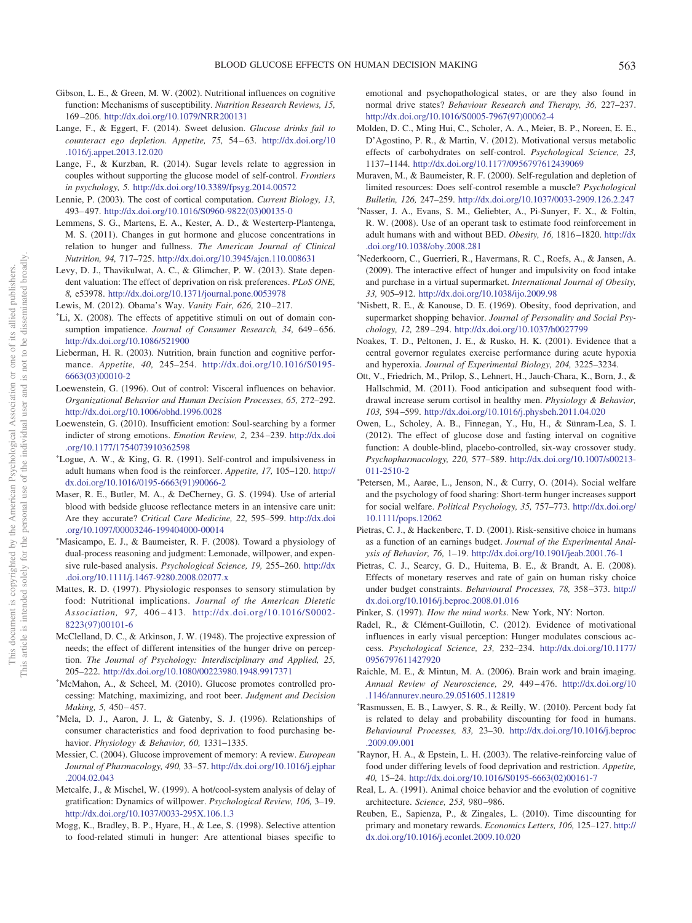- <span id="page-17-7"></span>Gibson, L. E., & Green, M. W. (2002). Nutritional influences on cognitive function: Mechanisms of susceptibility. *Nutrition Research Reviews, 15,* 169–206. <http://dx.doi.org/10.1079/NRR200131>
- <span id="page-17-15"></span>Lange, F., & Eggert, F. (2014). Sweet delusion. *Glucose drinks fail to counteract ego depletion. Appetite, 75,* 54–63. [http://dx.doi.org/10](http://dx.doi.org/10.1016/j.appet.2013.12.020) [.1016/j.appet.2013.12.020](http://dx.doi.org/10.1016/j.appet.2013.12.020)
- <span id="page-17-36"></span>Lange, F., & Kurzban, R. (2014). Sugar levels relate to aggression in couples without supporting the glucose model of self-control. *Frontiers in psychology, 5*. <http://dx.doi.org/10.3389/fpsyg.2014.00572>
- <span id="page-17-16"></span>Lennie, P. (2003). The cost of cortical computation. *Current Biology, 13,* 493–497. [http://dx.doi.org/10.1016/S0960-9822\(03\)00135-0](http://dx.doi.org/10.1016/S0960-9822%2803%2900135-0)
- <span id="page-17-1"></span>Lemmens, S. G., Martens, E. A., Kester, A. D., & Westerterp-Plantenga, M. S. (2011). Changes in gut hormone and glucose concentrations in relation to hunger and fullness. *The American Journal of Clinical Nutrition, 94,* 717–725. <http://dx.doi.org/10.3945/ajcn.110.008631>
- <span id="page-17-35"></span>Levy, D. J., Thavikulwat, A. C., & Glimcher, P. W. (2013). State dependent valuation: The effect of deprivation on risk preferences. *PLoS ONE, 8,* e53978. <http://dx.doi.org/10.1371/journal.pone.0053978>
- <span id="page-17-10"></span>Lewis, M. (2012). Obama's Way. *Vanity Fair, 626,* 210–217.
- <span id="page-17-29"></span>- Li, X. (2008). The effects of appetitive stimuli on out of domain consumption impatience. *Journal of Consumer Research, 34,* 649–656. <http://dx.doi.org/10.1086/521900>
- <span id="page-17-8"></span>Lieberman, H. R. (2003). Nutrition, brain function and cognitive performance. *Appetite, 40,* 245–254. [http://dx.doi.org/10.1016/S0195-](http://dx.doi.org/10.1016/S0195-6663%2803%2900010-2) [6663\(03\)00010-2](http://dx.doi.org/10.1016/S0195-6663%2803%2900010-2)
- <span id="page-17-13"></span>Loewenstein, G. (1996). Out of control: Visceral influences on behavior. *Organizational Behavior and Human Decision Processes, 65,* 272–292. <http://dx.doi.org/10.1006/obhd.1996.0028>
- <span id="page-17-38"></span>Loewenstein, G. (2010). Insufficient emotion: Soul-searching by a former indicter of strong emotions. *Emotion Review, 2,* 234–239. [http://dx.doi](http://dx.doi.org/10.1177/1754073910362598) [.org/10.1177/1754073910362598](http://dx.doi.org/10.1177/1754073910362598)
- <span id="page-17-11"></span>- Logue, A. W., & King, G. R. (1991). Self-control and impulsiveness in adult humans when food is the reinforcer. *Appetite, 17,* 105–120. [http://](http://dx.doi.org/10.1016/0195-6663%2891%2990066-2) [dx.doi.org/10.1016/0195-6663\(91\)90066-2](http://dx.doi.org/10.1016/0195-6663%2891%2990066-2)
- <span id="page-17-32"></span>Maser, R. E., Butler, M. A., & DeCherney, G. S. (1994). Use of arterial blood with bedside glucose reflectance meters in an intensive care unit: Are they accurate? *Critical Care Medicine, 22,* 595–599. [http://dx.doi](http://dx.doi.org/10.1097/00003246-199404000-00014) [.org/10.1097/00003246-199404000-00014](http://dx.doi.org/10.1097/00003246-199404000-00014)
- <span id="page-17-19"></span>- Masicampo, E. J., & Baumeister, R. F. (2008). Toward a physiology of dual-process reasoning and judgment: Lemonade, willpower, and expensive rule-based analysis. *Psychological Science, 19,* 255–260. [http://dx](http://dx.doi.org/10.1111/j.1467-9280.2008.02077.x) [.doi.org/10.1111/j.1467-9280.2008.02077.x](http://dx.doi.org/10.1111/j.1467-9280.2008.02077.x)
- <span id="page-17-24"></span>Mattes, R. D. (1997). Physiologic responses to sensory stimulation by food: Nutritional implications. *Journal of the American Dietetic Association, 97,* 406–413. [http://dx.doi.org/10.1016/S0002-](http://dx.doi.org/10.1016/S0002-8223%2897%2900101-6) [8223\(97\)00101-6](http://dx.doi.org/10.1016/S0002-8223%2897%2900101-6)
- <span id="page-17-6"></span>McClelland, D. C., & Atkinson, J. W. (1948). The projective expression of needs; the effect of different intensities of the hunger drive on perception. *The Journal of Psychology: Interdisciplinary and Applied, 25,* 205–222. <http://dx.doi.org/10.1080/00223980.1948.9917371>
- <span id="page-17-31"></span>- McMahon, A., & Scheel, M. (2010). Glucose promotes controlled processing: Matching, maximizing, and root beer. *Judgment and Decision Making, 5,* 450–457.
- <span id="page-17-25"></span>- Mela, D. J., Aaron, J. I., & Gatenby, S. J. (1996). Relationships of consumer characteristics and food deprivation to food purchasing behavior. *Physiology & Behavior, 60,* 1331–1335.
- <span id="page-17-9"></span>Messier, C. (2004). Glucose improvement of memory: A review. *European Journal of Pharmacology, 490,* 33–57. [http://dx.doi.org/10.1016/j.ejphar](http://dx.doi.org/10.1016/j.ejphar.2004.02.043) [.2004.02.043](http://dx.doi.org/10.1016/j.ejphar.2004.02.043)
- <span id="page-17-20"></span>Metcalfe, J., & Mischel, W. (1999). A hot/cool-system analysis of delay of gratification: Dynamics of willpower. *Psychological Review, 106,* 3–19. <http://dx.doi.org/10.1037/0033-295X.106.1.3>
- <span id="page-17-4"></span>Mogg, K., Bradley, B. P., Hyare, H., & Lee, S. (1998). Selective attention to food-related stimuli in hunger: Are attentional biases specific to

emotional and psychopathological states, or are they also found in normal drive states? *Behaviour Research and Therapy, 36,* 227–237. [http://dx.doi.org/10.1016/S0005-7967\(97\)00062-4](http://dx.doi.org/10.1016/S0005-7967%2897%2900062-4)

- <span id="page-17-18"></span>Molden, D. C., Ming Hui, C., Scholer, A. A., Meier, B. P., Noreen, E. E., D'Agostino, P. R., & Martin, V. (2012). Motivational versus metabolic effects of carbohydrates on self-control. *Psychological Science, 23,* 1137–1144. <http://dx.doi.org/10.1177/0956797612439069>
- <span id="page-17-14"></span>Muraven, M., & Baumeister, R. F. (2000). Self-regulation and depletion of limited resources: Does self-control resemble a muscle? *Psychological Bulletin, 126,* 247–259. <http://dx.doi.org/10.1037/0033-2909.126.2.247>
- <span id="page-17-28"></span>- Nasser, J. A., Evans, S. M., Geliebter, A., Pi-Sunyer, F. X., & Foltin, R. W. (2008). Use of an operant task to estimate food reinforcement in adult humans with and without BED. *Obesity, 16,* 1816–1820. [http://dx](http://dx.doi.org/10.1038/oby.2008.281) [.doi.org/10.1038/oby.2008.281](http://dx.doi.org/10.1038/oby.2008.281)
- <span id="page-17-2"></span>- Nederkoorn, C., Guerrieri, R., Havermans, R. C., Roefs, A., & Jansen, A. (2009). The interactive effect of hunger and impulsivity on food intake and purchase in a virtual supermarket. *International Journal of Obesity, 33,* 905–912. <http://dx.doi.org/10.1038/ijo.2009.98>
- <span id="page-17-26"></span>- Nisbett, R. E., & Kanouse, D. E. (1969). Obesity, food deprivation, and supermarket shopping behavior. *Journal of Personality and Social Psychology, 12,* 289–294. <http://dx.doi.org/10.1037/h0027799>
- <span id="page-17-37"></span>Noakes, T. D., Peltonen, J. E., & Rusko, H. K. (2001). Evidence that a central governor regulates exercise performance during acute hypoxia and hyperoxia. *Journal of Experimental Biology, 204,* 3225–3234.
- <span id="page-17-33"></span>Ott, V., Friedrich, M., Prilop, S., Lehnert, H., Jauch-Chara, K., Born, J., & Hallschmid, M. (2011). Food anticipation and subsequent food withdrawal increase serum cortisol in healthy men. *Physiology & Behavior, 103,* 594–599. <http://dx.doi.org/10.1016/j.physbeh.2011.04.020>
- <span id="page-17-34"></span>Owen, L., Scholey, A. B., Finnegan, Y., Hu, H., & Sünram-Lea, S. I. (2012). The effect of glucose dose and fasting interval on cognitive function: A double-blind, placebo-controlled, six-way crossover study. *Psychopharmacology, 220,* 577–589. [http://dx.doi.org/10.1007/s00213-](http://dx.doi.org/10.1007/s00213-011-2510-2) [011-2510-2](http://dx.doi.org/10.1007/s00213-011-2510-2)
- <span id="page-17-27"></span>- Petersen, M., Aarøe, L., Jenson, N., & Curry, O. (2014). Social welfare and the psychology of food sharing: Short-term hunger increases support for social welfare. *Political Psychology, 35,* 757–773. [http://dx.doi.org/](http://dx.doi.org/10.1111/pops.12062) [10.1111/pops.12062](http://dx.doi.org/10.1111/pops.12062)
- <span id="page-17-21"></span>Pietras, C. J., & Hackenberc, T. D. (2001). Risk-sensitive choice in humans as a function of an earnings budget. *Journal of the Experimental Analysis of Behavior, 76,* 1–19. <http://dx.doi.org/10.1901/jeab.2001.76-1>
- <span id="page-17-22"></span>Pietras, C. J., Searcy, G. D., Huitema, B. E., & Brandt, A. E. (2008). Effects of monetary reserves and rate of gain on human risky choice under budget constraints. *Behavioural Processes, 78,* 358–373. [http://](http://dx.doi.org/10.1016/j.beproc.2008.01.016) [dx.doi.org/10.1016/j.beproc.2008.01.016](http://dx.doi.org/10.1016/j.beproc.2008.01.016)
- <span id="page-17-5"></span><span id="page-17-0"></span>Pinker, S. (1997). *How the mind works*. New York, NY: Norton.
- Radel, R., & Clément-Guillotin, C. (2012). Evidence of motivational influences in early visual perception: Hunger modulates conscious access. *Psychological Science, 23,* 232–234. [http://dx.doi.org/10.1177/](http://dx.doi.org/10.1177/0956797611427920) [0956797611427920](http://dx.doi.org/10.1177/0956797611427920)
- <span id="page-17-17"></span>Raichle, M. E., & Mintun, M. A. (2006). Brain work and brain imaging. *Annual Review of Neuroscience, 29,* 449–476. [http://dx.doi.org/10](http://dx.doi.org/10.1146/annurev.neuro.29.051605.112819) [.1146/annurev.neuro.29.051605.112819](http://dx.doi.org/10.1146/annurev.neuro.29.051605.112819)
- <span id="page-17-30"></span>- Rasmussen, E. B., Lawyer, S. R., & Reilly, W. (2010). Percent body fat is related to delay and probability discounting for food in humans. *Behavioural Processes, 83,* 23–30. [http://dx.doi.org/10.1016/j.beproc](http://dx.doi.org/10.1016/j.beproc.2009.09.001) [.2009.09.001](http://dx.doi.org/10.1016/j.beproc.2009.09.001)
- <span id="page-17-3"></span>- Raynor, H. A., & Epstein, L. H. (2003). The relative-reinforcing value of food under differing levels of food deprivation and restriction. *Appetite, 40,* 15–24. [http://dx.doi.org/10.1016/S0195-6663\(02\)00161-7](http://dx.doi.org/10.1016/S0195-6663%2802%2900161-7)
- <span id="page-17-23"></span>Real, L. A. (1991). Animal choice behavior and the evolution of cognitive architecture. *Science, 253,* 980–986.
- <span id="page-17-12"></span>Reuben, E., Sapienza, P., & Zingales, L. (2010). Time discounting for primary and monetary rewards. *Economics Letters, 106,* 125–127. [http://](http://dx.doi.org/10.1016/j.econlet.2009.10.020) [dx.doi.org/10.1016/j.econlet.2009.10.020](http://dx.doi.org/10.1016/j.econlet.2009.10.020)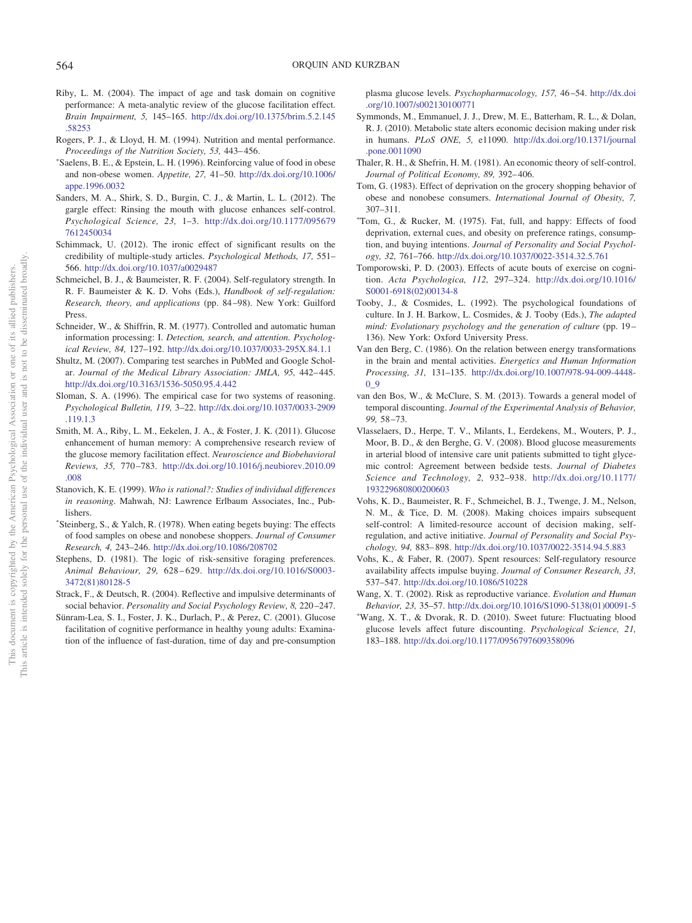#### 564 ORQUIN AND KURZBAN

- <span id="page-18-1"></span>Riby, L. M. (2004). The impact of age and task domain on cognitive performance: A meta-analytic review of the glucose facilitation effect. *Brain Impairment, 5,* 145–165. [http://dx.doi.org/10.1375/brim.5.2.145](http://dx.doi.org/10.1375/brim.5.2.145.58253) [.58253](http://dx.doi.org/10.1375/brim.5.2.145.58253)
- <span id="page-18-26"></span>Rogers, P. J., & Lloyd, H. M. (1994). Nutrition and mental performance. *Proceedings of the Nutrition Society, 53,* 443–456.
- <span id="page-18-22"></span>- Saelens, B. E., & Epstein, L. H. (1996). Reinforcing value of food in obese and non-obese women. *Appetite, 27,* 41–50. [http://dx.doi.org/10.1006/](http://dx.doi.org/10.1006/appe.1996.0032) [appe.1996.0032](http://dx.doi.org/10.1006/appe.1996.0032)
- <span id="page-18-7"></span>Sanders, M. A., Shirk, S. D., Burgin, C. J., & Martin, L. L. (2012). The gargle effect: Rinsing the mouth with glucose enhances self-control. *Psychological Science, 23,* 1–3. [http://dx.doi.org/10.1177/095679](http://dx.doi.org/10.1177/0956797612450034) [7612450034](http://dx.doi.org/10.1177/0956797612450034)
- <span id="page-18-6"></span>Schimmack, U. (2012). The ironic effect of significant results on the credibility of multiple-study articles. *Psychological Methods, 17,* 551– 566. <http://dx.doi.org/10.1037/a0029487>
- <span id="page-18-4"></span>Schmeichel, B. J., & Baumeister, R. F. (2004). Self-regulatory strength. In R. F. Baumeister & K. D. Vohs (Eds.), *Handbook of self-regulation: Research, theory, and applications* (pp. 84–98). New York: Guilford Press.
- <span id="page-18-12"></span>Schneider, W., & Shiffrin, R. M. (1977). Controlled and automatic human information processing: I. *Detection, search, and attention. Psychological Review, 84,* 127–192. <http://dx.doi.org/10.1037/0033-295X.84.1.1>
- <span id="page-18-18"></span>Shultz, M. (2007). Comparing test searches in PubMed and Google Scholar. *Journal of the Medical Library Association: JMLA, 95,* 442–445. <http://dx.doi.org/10.3163/1536-5050.95.4.442>
- <span id="page-18-11"></span>Sloman, S. A. (1996). The empirical case for two systems of reasoning. *Psychological Bulletin, 119,* 3–22. [http://dx.doi.org/10.1037/0033-2909](http://dx.doi.org/10.1037/0033-2909.119.1.3) [.119.1.3](http://dx.doi.org/10.1037/0033-2909.119.1.3)
- <span id="page-18-2"></span>Smith, M. A., Riby, L. M., Eekelen, J. A., & Foster, J. K. (2011). Glucose enhancement of human memory: A comprehensive research review of the glucose memory facilitation effect. *Neuroscience and Biobehavioral Reviews, 35,* 770–783. [http://dx.doi.org/10.1016/j.neubiorev.2010.09](http://dx.doi.org/10.1016/j.neubiorev.2010.09.008) [.008](http://dx.doi.org/10.1016/j.neubiorev.2010.09.008)
- <span id="page-18-13"></span>Stanovich, K. E. (1999). *Who is rational?: Studies of individual differences in reasoning*. Mahwah, NJ: Lawrence Erlbaum Associates, Inc., Publishers.
- <span id="page-18-20"></span>- Steinberg, S., & Yalch, R. (1978). When eating begets buying: The effects of food samples on obese and nonobese shoppers. *Journal of Consumer Research, 4,* 243–246. <http://dx.doi.org/10.1086/208702>
- <span id="page-18-16"></span>Stephens, D. (1981). The logic of risk-sensitive foraging preferences. *Animal Behaviour, 29,* 628–629. [http://dx.doi.org/10.1016/S0003-](http://dx.doi.org/10.1016/S0003-3472%2881%2980128-5) [3472\(81\)80128-5](http://dx.doi.org/10.1016/S0003-3472%2881%2980128-5)
- <span id="page-18-10"></span>Strack, F., & Deutsch, R. (2004). Reflective and impulsive determinants of social behavior. *Personality and Social Psychology Review, 8,* 220–247.
- <span id="page-18-24"></span>Sünram-Lea, S. I., Foster, J. K., Durlach, P., & Perez, C. (2001). Glucose facilitation of cognitive performance in healthy young adults: Examination of the influence of fast-duration, time of day and pre-consumption

plasma glucose levels. *Psychopharmacology, 157,* 46–54. [http://dx.doi](http://dx.doi.org/10.1007/s002130100771) [.org/10.1007/s002130100771](http://dx.doi.org/10.1007/s002130100771)

- <span id="page-18-25"></span>Symmonds, M., Emmanuel, J. J., Drew, M. E., Batterham, R. L., & Dolan, R. J. (2010). Metabolic state alters economic decision making under risk in humans. *PLoS ONE, 5,* e11090. [http://dx.doi.org/10.1371/journal](http://dx.doi.org/10.1371/journal.pone.0011090) [.pone.0011090](http://dx.doi.org/10.1371/journal.pone.0011090)
- <span id="page-18-14"></span>Thaler, R. H., & Shefrin, H. M. (1981). An economic theory of self-control. *Journal of Political Economy, 89,* 392–406.
- <span id="page-18-21"></span>Tom, G. (1983). Effect of deprivation on the grocery shopping behavior of obese and nonobese consumers. *International Journal of Obesity, 7,* 307–311.
- <span id="page-18-19"></span>- Tom, G., & Rucker, M. (1975). Fat, full, and happy: Effects of food deprivation, external cues, and obesity on preference ratings, consumption, and buying intentions. *Journal of Personality and Social Psychology, 32,* 761–766. <http://dx.doi.org/10.1037/0022-3514.32.5.761>
- <span id="page-18-8"></span>Tomporowski, P. D. (2003). Effects of acute bouts of exercise on cognition. *Acta Psychologica, 112,* 297–324. [http://dx.doi.org/10.1016/](http://dx.doi.org/10.1016/S0001-6918%2802%2900134-8) [S0001-6918\(02\)00134-8](http://dx.doi.org/10.1016/S0001-6918%2802%2900134-8)
- <span id="page-18-27"></span>Tooby, J., & Cosmides, L. (1992). The psychological foundations of culture. In J. H. Barkow, L. Cosmides, & J. Tooby (Eds.), *The adapted mind: Evolutionary psychology and the generation of culture* (pp. 19– 136). New York: Oxford University Press.
- <span id="page-18-0"></span>Van den Berg, C. (1986). On the relation between energy transformations in the brain and mental activities. *Energetics and Human Information Processing, 31,* 131–135. [http://dx.doi.org/10.1007/978-94-009-4448-](http://dx.doi.org/10.1007/978-94-009-4448-0_9) [0\\_9](http://dx.doi.org/10.1007/978-94-009-4448-0_9)
- <span id="page-18-15"></span>van den Bos, W., & McClure, S. M. (2013). Towards a general model of temporal discounting. *Journal of the Experimental Analysis of Behavior, 99,* 58–73.
- <span id="page-18-23"></span>Vlasselaers, D., Herpe, T. V., Milants, I., Eerdekens, M., Wouters, P. J., Moor, B. D., & den Berghe, G. V. (2008). Blood glucose measurements in arterial blood of intensive care unit patients submitted to tight glycemic control: Agreement between bedside tests. *Journal of Diabetes Science and Technology, 2,* 932–938. [http://dx.doi.org/10.1177/](http://dx.doi.org/10.1177/193229680800200603) [193229680800200603](http://dx.doi.org/10.1177/193229680800200603)
- <span id="page-18-5"></span>Vohs, K. D., Baumeister, R. F., Schmeichel, B. J., Twenge, J. M., Nelson, N. M., & Tice, D. M. (2008). Making choices impairs subsequent self-control: A limited-resource account of decision making, selfregulation, and active initiative. *Journal of Personality and Social Psychology, 94,* 883–898. <http://dx.doi.org/10.1037/0022-3514.94.5.883>
- <span id="page-18-9"></span>Vohs, K., & Faber, R. (2007). Spent resources: Self-regulatory resource availability affects impulse buying. *Journal of Consumer Research, 33,* 537–547. <http://dx.doi.org/10.1086/510228>
- <span id="page-18-17"></span>Wang, X. T. (2002). Risk as reproductive variance. *Evolution and Human Behavior, 23,* 35–57. [http://dx.doi.org/10.1016/S1090-5138\(01\)00091-5](http://dx.doi.org/10.1016/S1090-5138%2801%2900091-5)
- <span id="page-18-3"></span>- Wang, X. T., & Dvorak, R. D. (2010). Sweet future: Fluctuating blood glucose levels affect future discounting. *Psychological Science, 21,* 183–188. <http://dx.doi.org/10.1177/0956797609358096>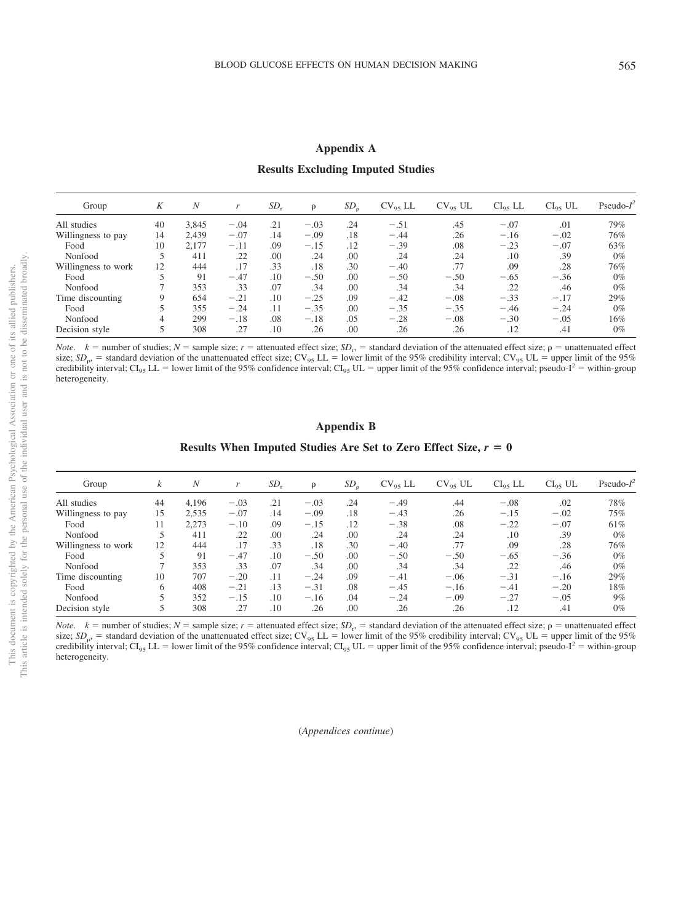| <b>Appendix A</b> |                                          |  |  |  |  |  |  |  |  |
|-------------------|------------------------------------------|--|--|--|--|--|--|--|--|
|                   | <b>Results Excluding Imputed Studies</b> |  |  |  |  |  |  |  |  |

| Group               | K  | Ν     | r      | $SD_r$ | $\rho$ | $SD_{\rho}$ | $CV_{95}$ LL | $CV_{95}$ UL | $CI_{95}$ LL | $CI_{95}$ UL | Pseudo- $I^2$ |
|---------------------|----|-------|--------|--------|--------|-------------|--------------|--------------|--------------|--------------|---------------|
| All studies         | 40 | 3.845 | $-.04$ | .21    | $-.03$ | .24         | $-.51$       | .45          | $-.07$       | .01          | 79%           |
| Willingness to pay  | 14 | 2,439 | $-.07$ | .14    | $-.09$ | .18         | $-.44$       | .26          | $-.16$       | $-.02$       | 76%           |
| Food                | 10 | 2.177 | $-.11$ | .09    | $-.15$ | .12         | $-.39$       | .08          | $-.23$       | $-.07$       | 63%           |
| Nonfood             | 5  | 411   | .22    | .00    | .24    | .00         | .24          | .24          | .10          | .39          | $0\%$         |
| Willingness to work | 12 | 444   | .17    | .33    | .18    | .30         | $-.40$       | .77          | .09          | .28          | 76%           |
| Food                |    | 91    | $-.47$ | .10    | $-.50$ | .00         | $-.50$       | $-.50$       | $-.65$       | $-.36$       | $0\%$         |
| Nonfood             |    | 353   | .33    | .07    | .34    | .00         | .34          | .34          | .22          | .46          | $0\%$         |
| Time discounting    |    | 654   | $-.21$ | .10    | $-.25$ | .09         | $-.42$       | $-.08$       | $-.33$       | $-.17$       | 29%           |
| Food                |    | 355   | $-.24$ | .11    | $-.35$ | .00         | $-.35$       | $-.35$       | $-.46$       | $-.24$       | $0\%$         |
| Nonfood             | 4  | 299   | $-.18$ | .08    | $-.18$ | .05         | $-.28$       | $-.08$       | $-.30$       | $-.05$       | 16%           |
| Decision style      |    | 308   | .27    | .10    | .26    | .00         | .26          | .26          | .12          | .41          | $0\%$         |

*Note.*  $k =$  number of studies;  $N =$  sample size;  $r =$  attenuated effect size;  $\mathcal{D}_r$ ,  $=$  standard deviation of the attenuated effect size;  $\rho =$  unattenuated effect size;  $SD_p$ , = standard deviation of the unattenuated effect size;  $CV_{95}$  LL = lower limit of the 95% credibility interval;  $CV_{95}$  UL = upper limit of the 95% credibility interval; CI<sub>95</sub> LL = lower limit of the 95% confidence interval; CI<sub>95</sub> UL = upper limit of the 95% confidence interval; pseudo-I<sup>2</sup> = within-group heterogeneity.

# **Appendix B**

# **Results When Imputed Studies Are Set to Zero Effect Size,**  $r = 0$

| Group               | k  | N     | r      | $SD_r$ | $\rho$ | $SD_{\rho}$ | $CV_{95}$ LL | $CV_{95}$ UL | $CI_{95}$ LL | $CI_{95}$ UL | Pseudo- $I^2$ |
|---------------------|----|-------|--------|--------|--------|-------------|--------------|--------------|--------------|--------------|---------------|
| All studies         | 44 | 4.196 | $-.03$ | .21    | $-.03$ | .24         | $-.49$       | .44          | $-.08$       | .02          | 78%           |
| Willingness to pay  | 15 | 2.535 | $-.07$ | .14    | $-.09$ | .18         | $-.43$       | .26          | $-.15$       | $-.02$       | 75%           |
| Food                | 11 | 2.273 | $-.10$ | .09    | $-.15$ | .12         | $-.38$       | .08          | $-.22$       | $-.07$       | 61%           |
| Nonfood             |    | 411   | .22    | .00    | .24    | .00         | .24          | .24          | .10          | .39          | $0\%$         |
| Willingness to work | 12 | 444   | .17    | .33    | .18    | .30         | $-.40$       | .77          | .09          | .28          | 76%           |
| Food                |    | 91    | $-.47$ | .10    | $-.50$ | .00         | $-.50$       | $-.50$       | $-.65$       | $-.36$       | $0\%$         |
| Nonfood             |    | 353   | .33    | .07    | .34    | .00         | .34          | .34          | .22          | .46          | $0\%$         |
| Time discounting    | 10 | 707   | $-.20$ | .11    | $-.24$ | .09         | $-.41$       | $-.06$       | $-.31$       | $-.16$       | 29%           |
| Food                | 6  | 408   | $-.21$ | .13    | $-.31$ | .08         | $-.45$       | $-.16$       | $-.41$       | $-.20$       | 18%           |
| Nonfood             |    | 352   | $-.15$ | .10    | $-.16$ | .04         | $-.24$       | $-.09$       | $-.27$       | $-.05$       | 9%            |
| Decision style      |    | 308   | .27    | .10    | .26    | .00         | .26          | .26          | .12          | .41          | $0\%$         |

*Note.*  $k =$  number of studies;  $N =$  sample size;  $r =$  attenuated effect size;  $SD_r$ ,  $=$  standard deviation of the attenuated effect size;  $\rho =$  unattenuated effect size;  $SD<sub>o</sub>$ ,  $=$  standard deviation of the unattenuated effect size; CV<sub>95</sub> LL  $=$  lower limit of the 95% credibility interval; CV<sub>95</sub> UL  $=$  upper limit of the 95% credibility interval; CI<sub>95</sub> LL = lower limit of the 95% confidence interval; CI<sub>95</sub> UL = upper limit of the 95% confidence interval; pseudo-I<sup>2</sup> = within-group heterogeneity.

(*Appendices continue*)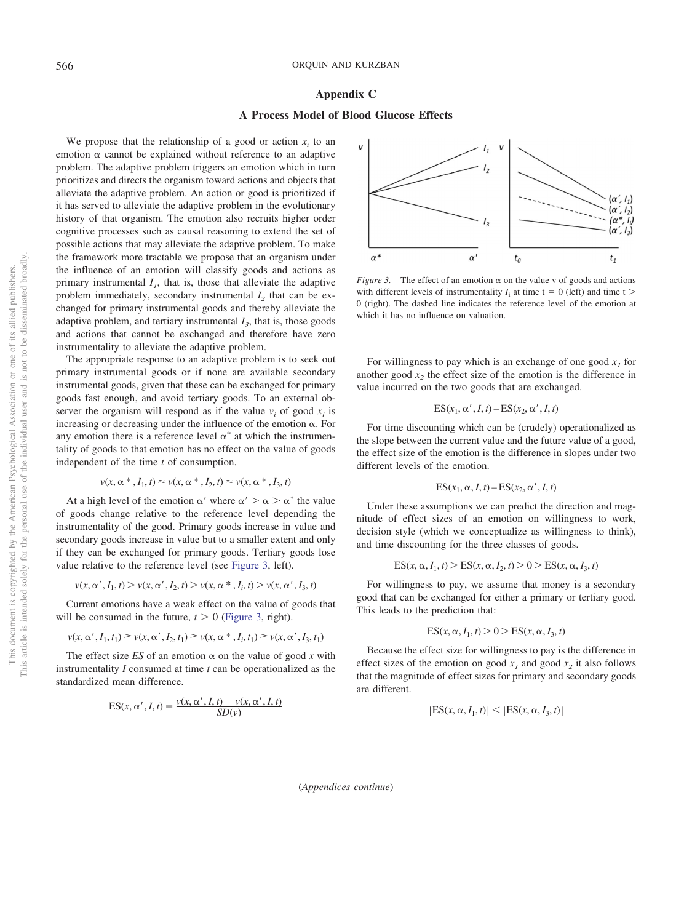# <span id="page-20-0"></span>**Appendix C**

# **A Process Model of Blood Glucose Effects**

We propose that the relationship of a good or action  $x_i$  to an emotion  $\alpha$  cannot be explained without reference to an adaptive problem. The adaptive problem triggers an emotion which in turn prioritizes and directs the organism toward actions and objects that alleviate the adaptive problem. An action or good is prioritized if it has served to alleviate the adaptive problem in the evolutionary history of that organism. The emotion also recruits higher order cognitive processes such as causal reasoning to extend the set of possible actions that may alleviate the adaptive problem. To make the framework more tractable we propose that an organism under the influence of an emotion will classify goods and actions as primary instrumental  $I<sub>1</sub>$ , that is, those that alleviate the adaptive problem immediately, secondary instrumental  $I_2$  that can be exchanged for primary instrumental goods and thereby alleviate the adaptive problem, and tertiary instrumental  $I_3$ , that is, those goods and actions that cannot be exchanged and therefore have zero instrumentality to alleviate the adaptive problem.

The appropriate response to an adaptive problem is to seek out primary instrumental goods or if none are available secondary instrumental goods, given that these can be exchanged for primary goods fast enough, and avoid tertiary goods. To an external observer the organism will respond as if the value  $v_i$  of good  $x_i$  is increasing or decreasing under the influence of the emotion  $\alpha$ . For any emotion there is a reference level  $\alpha^*$  at which the instrumentality of goods to that emotion has no effect on the value of goods independent of the time *t* of consumption.

$$
v(x, \alpha^*, I_1, t) \approx v(x, \alpha^*, I_2, t) \approx v(x, \alpha^*, I_3, t)
$$

At a high level of the emotion  $\alpha'$  where  $\alpha' > \alpha > \alpha^*$  the value of goods change relative to the reference level depending the instrumentality of the good. Primary goods increase in value and secondary goods increase in value but to a smaller extent and only if they can be exchanged for primary goods. Tertiary goods lose value relative to the reference level (see [Figure 3,](#page-20-1) left).

$$
v(x, \alpha', I_1, t) > v(x, \alpha', I_2, t) > v(x, \alpha^*, I_i, t) > v(x, \alpha', I_3, t)
$$

Current emotions have a weak effect on the value of goods that will be consumed in the future,  $t > 0$  [\(Figure 3,](#page-20-1) right).

$$
v(x, \alpha', I_1, t_1) \ge v(x, \alpha', I_2, t_1) \ge v(x, \alpha^*, I_i, t_1) \ge v(x, \alpha', I_3, t_1)
$$

The effect size *ES* of an emotion  $\alpha$  on the value of good *x* with instrumentality *I* consumed at time *t* can be operationalized as the standardized mean difference.

$$
ES(x, \alpha', I, t) = \frac{v(x, \alpha', I, t) - v(x, \alpha', I, t)}{SD(v)}
$$

 $\mathbf{v}$  $(\alpha', I_2)$  $(\alpha^*, 1)$  $(\alpha', I_{3})$  $\alpha^*$  $t_1$  $\alpha$  $t_o$ 

<span id="page-20-1"></span>*Figure 3.* The effect of an emotion  $\alpha$  on the value v of goods and actions with different levels of instrumentality  $I_i$  at time t = 0 (left) and time t > 0 (right). The dashed line indicates the reference level of the emotion at which it has no influence on valuation.

For willingness to pay which is an exchange of one good  $x<sub>1</sub>$  for another good  $x_2$  the effect size of the emotion is the difference in value incurred on the two goods that are exchanged.

$$
ES(x_1, \alpha', I, t) - ES(x_2, \alpha', I, t)
$$

For time discounting which can be (crudely) operationalized as the slope between the current value and the future value of a good, the effect size of the emotion is the difference in slopes under two different levels of the emotion.

$$
ES(x_1, \alpha, I, t) - ES(x_2, \alpha', I, t)
$$

Under these assumptions we can predict the direction and magnitude of effect sizes of an emotion on willingness to work, decision style (which we conceptualize as willingness to think), and time discounting for the three classes of goods.

$$
ES(x, \alpha, I_1, t) > ES(x, \alpha, I_2, t) > 0 > ES(x, \alpha, I_3, t)
$$

For willingness to pay, we assume that money is a secondary good that can be exchanged for either a primary or tertiary good. This leads to the prediction that:

$$
ES(x, \alpha, I_1, t) > 0 > ES(x, \alpha, I_3, t)
$$

Because the effect size for willingness to pay is the difference in effect sizes of the emotion on good  $x_1$  and good  $x_2$  it also follows that the magnitude of effect sizes for primary and secondary goods are different.

$$
|\mathrm{ES}(x, \alpha, I_1, t)| \leq |\mathrm{ES}(x, \alpha, I_3, t)|
$$

(*Appendices continue*)